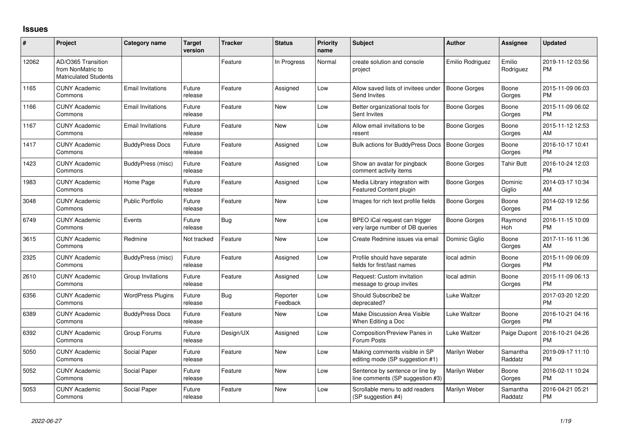## **Issues**

| #     | Project                                                                 | Category name            | <b>Target</b><br>version | <b>Tracker</b> | <b>Status</b>        | <b>Priority</b><br>name | <b>Subject</b>                                                      | Author              | <b>Assignee</b>     | <b>Updated</b>                |
|-------|-------------------------------------------------------------------------|--------------------------|--------------------------|----------------|----------------------|-------------------------|---------------------------------------------------------------------|---------------------|---------------------|-------------------------------|
| 12062 | AD/O365 Transition<br>from NonMatric to<br><b>Matriculated Students</b> |                          |                          | Feature        | In Progress          | Normal                  | create solution and console<br>project                              | Emilio Rodriguez    | Emilio<br>Rodriguez | 2019-11-12 03:56<br><b>PM</b> |
| 1165  | <b>CUNY Academic</b><br>Commons                                         | <b>Email Invitations</b> | Future<br>release        | Feature        | Assigned             | Low                     | Allow saved lists of invitees under<br>Send Invites                 | Boone Gorges        | Boone<br>Gorges     | 2015-11-09 06:03<br><b>PM</b> |
| 1166  | <b>CUNY Academic</b><br>Commons                                         | <b>Email Invitations</b> | Future<br>release        | Feature        | <b>New</b>           | Low                     | Better organizational tools for<br>Sent Invites                     | Boone Gorges        | Boone<br>Gorges     | 2015-11-09 06:02<br><b>PM</b> |
| 1167  | <b>CUNY Academic</b><br>Commons                                         | <b>Email Invitations</b> | Future<br>release        | Feature        | New                  | Low                     | Allow email invitations to be<br>resent                             | Boone Gorges        | Boone<br>Gorges     | 2015-11-12 12:53<br>AM        |
| 1417  | <b>CUNY Academic</b><br>Commons                                         | <b>BuddyPress Docs</b>   | Future<br>release        | Feature        | Assigned             | Low                     | <b>Bulk actions for BuddyPress Docs</b>                             | <b>Boone Gorges</b> | Boone<br>Gorges     | 2016-10-17 10:41<br><b>PM</b> |
| 1423  | <b>CUNY Academic</b><br>Commons                                         | BuddyPress (misc)        | Future<br>release        | Feature        | Assigned             | Low                     | Show an avatar for pingback<br>comment activity items               | Boone Gorges        | Tahir Butt          | 2016-10-24 12:03<br><b>PM</b> |
| 1983  | <b>CUNY Academic</b><br>Commons                                         | Home Page                | Future<br>release        | Feature        | Assigned             | Low                     | Media Library integration with<br>Featured Content plugin           | Boone Gorges        | Dominic<br>Giglio   | 2014-03-17 10:34<br>AM        |
| 3048  | <b>CUNY Academic</b><br>Commons                                         | <b>Public Portfolio</b>  | Future<br>release        | Feature        | New                  | Low                     | Images for rich text profile fields                                 | <b>Boone Gorges</b> | Boone<br>Gorges     | 2014-02-19 12:56<br><b>PM</b> |
| 6749  | <b>CUNY Academic</b><br>Commons                                         | Events                   | Future<br>release        | <b>Bug</b>     | <b>New</b>           | Low                     | BPEO iCal request can trigger<br>very large number of DB queries    | Boone Gorges        | Raymond<br>Hoh      | 2016-11-15 10:09<br><b>PM</b> |
| 3615  | <b>CUNY Academic</b><br>Commons                                         | Redmine                  | Not tracked              | Feature        | <b>New</b>           | Low                     | Create Redmine issues via email                                     | Dominic Giglio      | Boone<br>Gorges     | 2017-11-16 11:36<br>AM        |
| 2325  | <b>CUNY Academic</b><br>Commons                                         | BuddyPress (misc)        | Future<br>release        | Feature        | Assigned             | Low                     | Profile should have separate<br>fields for first/last names         | local admin         | Boone<br>Gorges     | 2015-11-09 06:09<br><b>PM</b> |
| 2610  | <b>CUNY Academic</b><br>Commons                                         | Group Invitations        | Future<br>release        | Feature        | Assigned             | Low                     | Request: Custom invitation<br>message to group invites              | local admin         | Boone<br>Gorges     | 2015-11-09 06:13<br><b>PM</b> |
| 6356  | <b>CUNY Academic</b><br>Commons                                         | <b>WordPress Plugins</b> | Future<br>release        | Bug            | Reporter<br>Feedback | Low                     | Should Subscribe2 be<br>deprecated?                                 | Luke Waltzer        |                     | 2017-03-20 12:20<br><b>PM</b> |
| 6389  | <b>CUNY Academic</b><br>Commons                                         | <b>BuddyPress Docs</b>   | Future<br>release        | Feature        | <b>New</b>           | Low                     | Make Discussion Area Visible<br>When Editing a Doc                  | Luke Waltzer        | Boone<br>Gorges     | 2016-10-21 04:16<br><b>PM</b> |
| 6392  | <b>CUNY Academic</b><br>Commons                                         | Group Forums             | Future<br>release        | Design/UX      | Assigned             | Low                     | Composition/Preview Panes in<br>Forum Posts                         | Luke Waltzer        | Paige Dupont        | 2016-10-21 04:26<br><b>PM</b> |
| 5050  | <b>CUNY Academic</b><br>Commons                                         | Social Paper             | Future<br>release        | Feature        | <b>New</b>           | Low                     | Making comments visible in SP<br>editing mode (SP suggestion #1)    | Marilyn Weber       | Samantha<br>Raddatz | 2019-09-17 11:10<br><b>PM</b> |
| 5052  | <b>CUNY Academic</b><br>Commons                                         | Social Paper             | Future<br>release        | Feature        | <b>New</b>           | Low                     | Sentence by sentence or line by<br>line comments (SP suggestion #3) | Marilyn Weber       | Boone<br>Gorges     | 2016-02-11 10:24<br><b>PM</b> |
| 5053  | <b>CUNY Academic</b><br>Commons                                         | Social Paper             | Future<br>release        | Feature        | <b>New</b>           | Low                     | Scrollable menu to add readers<br>(SP suggestion #4)                | Marilyn Weber       | Samantha<br>Raddatz | 2016-04-21 05:21<br><b>PM</b> |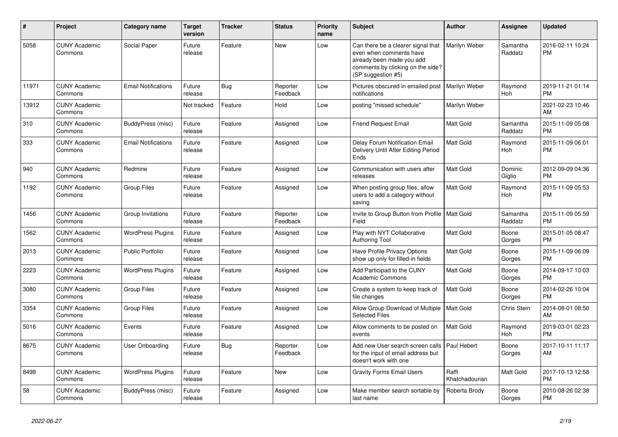| #     | <b>Project</b>                  | <b>Category name</b>       | <b>Target</b><br>version | Tracker    | <b>Status</b>        | Priority<br>name | <b>Subject</b>                                                                                                                                        | <b>Author</b>           | Assignee              | <b>Updated</b>                |
|-------|---------------------------------|----------------------------|--------------------------|------------|----------------------|------------------|-------------------------------------------------------------------------------------------------------------------------------------------------------|-------------------------|-----------------------|-------------------------------|
| 5058  | <b>CUNY Academic</b><br>Commons | Social Paper               | Future<br>release        | Feature    | <b>New</b>           | Low              | Can there be a clearer signal that<br>even when comments have<br>already been made you add<br>comments by clicking on the side?<br>(SP suggestion #5) | Marilyn Weber           | Samantha<br>Raddatz   | 2016-02-11 10:24<br><b>PM</b> |
| 11971 | <b>CUNY Academic</b><br>Commons | <b>Email Notifications</b> | Future<br>release        | <b>Bug</b> | Reporter<br>Feedback | Low              | Pictures obscured in emailed post<br>notifications                                                                                                    | <b>Marilyn Weber</b>    | Raymond<br><b>Hoh</b> | 2019-11-21 01:14<br><b>PM</b> |
| 13912 | <b>CUNY Academic</b><br>Commons |                            | Not tracked              | Feature    | Hold                 | Low              | posting "missed schedule"                                                                                                                             | Marilyn Weber           |                       | 2021-02-23 10:46<br>AM        |
| 310   | <b>CUNY Academic</b><br>Commons | BuddyPress (misc)          | Future<br>release        | Feature    | Assigned             | Low              | <b>Friend Request Email</b>                                                                                                                           | Matt Gold               | Samantha<br>Raddatz   | 2015-11-09 05:08<br>PM        |
| 333   | <b>CUNY Academic</b><br>Commons | <b>Email Notifications</b> | Future<br>release        | Feature    | Assigned             | Low              | Delay Forum Notification Email<br>Delivery Until After Editing Period<br>Ends                                                                         | Matt Gold               | Raymond<br>Hoh        | 2015-11-09 06:01<br><b>PM</b> |
| 940   | <b>CUNY Academic</b><br>Commons | Redmine                    | Future<br>release        | Feature    | Assigned             | Low              | Communication with users after<br>releases                                                                                                            | Matt Gold               | Dominic<br>Giglio     | 2012-09-09 04:36<br><b>PM</b> |
| 1192  | <b>CUNY Academic</b><br>Commons | <b>Group Files</b>         | Future<br>release        | Feature    | Assigned             | Low              | When posting group files, allow<br>users to add a category without<br>saving                                                                          | Matt Gold               | Raymond<br>Hoh        | 2015-11-09 05:53<br><b>PM</b> |
| 1456  | <b>CUNY Academic</b><br>Commons | Group Invitations          | Future<br>release        | Feature    | Reporter<br>Feedback | Low              | Invite to Group Button from Profile<br>Field                                                                                                          | Matt Gold               | Samantha<br>Raddatz   | 2015-11-09 05:59<br><b>PM</b> |
| 1562  | <b>CUNY Academic</b><br>Commons | <b>WordPress Plugins</b>   | Future<br>release        | Feature    | Assigned             | Low              | Play with NYT Collaborative<br><b>Authoring Tool</b>                                                                                                  | Matt Gold               | Boone<br>Gorges       | 2015-01-05 08:47<br>PМ        |
| 2013  | <b>CUNY Academic</b><br>Commons | <b>Public Portfolio</b>    | Future<br>release        | Feature    | Assigned             | Low              | <b>Have Profile Privacy Options</b><br>show up only for filled-in fields                                                                              | Matt Gold               | Boone<br>Gorges       | 2015-11-09 06:09<br><b>PM</b> |
| 2223  | <b>CUNY Academic</b><br>Commons | <b>WordPress Plugins</b>   | Future<br>release        | Feature    | Assigned             | Low              | Add Participad to the CUNY<br><b>Academic Commons</b>                                                                                                 | Matt Gold               | Boone<br>Gorges       | 2014-09-17 10:03<br><b>PM</b> |
| 3080  | <b>CUNY Academic</b><br>Commons | <b>Group Files</b>         | Future<br>release        | Feature    | Assigned             | Low              | Create a system to keep track of<br>file changes                                                                                                      | Matt Gold               | Boone<br>Gorges       | 2014-02-26 10:04<br><b>PM</b> |
| 3354  | <b>CUNY Academic</b><br>Commons | <b>Group Files</b>         | Future<br>release        | Feature    | Assigned             | Low              | Allow Group Download of Multiple<br><b>Selected Files</b>                                                                                             | Matt Gold               | Chris Stein           | 2014-08-01 08:50<br>AM        |
| 5016  | <b>CUNY Academic</b><br>Commons | Events                     | Future<br>release        | Feature    | Assigned             | Low              | Allow comments to be posted on<br>events                                                                                                              | Matt Gold               | Raymond<br>Hoh        | 2019-03-01 02:23<br><b>PM</b> |
| 8675  | <b>CUNY Academic</b><br>Commons | User Onboarding            | Future<br>release        | Bug        | Reporter<br>Feedback | Low              | Add new User search screen calls<br>for the input of email address but<br>doesn't work with one                                                       | Paul Hebert             | Boone<br>Gorges       | 2017-10-11 11:17<br>AM        |
| 8498  | <b>CUNY Academic</b><br>Commons | <b>WordPress Plugins</b>   | Future<br>release        | Feature    | <b>New</b>           | Low              | <b>Gravity Forms Email Users</b>                                                                                                                      | Raffi<br>Khatchadourian | Matt Gold             | 2017-10-13 12:58<br><b>PM</b> |
| 58    | <b>CUNY Academic</b><br>Commons | BuddyPress (misc)          | Future<br>release        | Feature    | Assigned             | Low              | Make member search sortable by<br>last name                                                                                                           | Roberta Brody           | Boone<br>Gorges       | 2010-08-26 02:38<br><b>PM</b> |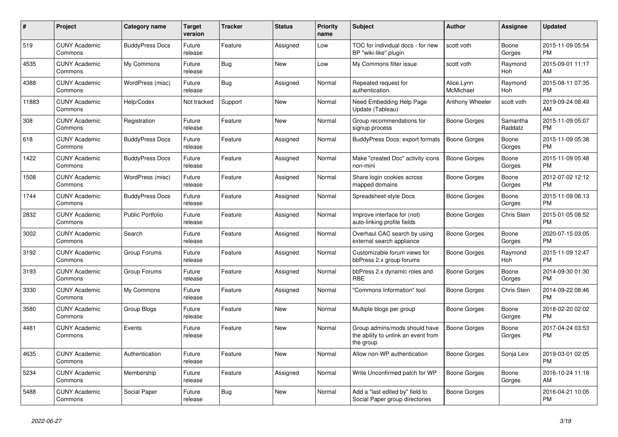| #     | Project                         | Category name           | <b>Target</b><br>version | <b>Tracker</b> | <b>Status</b> | Priority<br>name | <b>Subject</b>                                                                    | Author                  | <b>Assignee</b>     | <b>Updated</b>                |
|-------|---------------------------------|-------------------------|--------------------------|----------------|---------------|------------------|-----------------------------------------------------------------------------------|-------------------------|---------------------|-------------------------------|
| 519   | <b>CUNY Academic</b><br>Commons | <b>BuddyPress Docs</b>  | Future<br>release        | Feature        | Assigned      | Low              | TOC for individual docs - for new<br>BP "wiki-like" plugin                        | scott voth              | Boone<br>Gorges     | 2015-11-09 05:54<br><b>PM</b> |
| 4535  | <b>CUNY Academic</b><br>Commons | My Commons              | Future<br>release        | Bug            | <b>New</b>    | Low              | My Commons filter issue                                                           | scott voth              | Raymond<br>Hoh      | 2015-09-01 11:17<br>AM        |
| 4388  | <b>CUNY Academic</b><br>Commons | WordPress (misc)        | Future<br>release        | Bug            | Assigned      | Normal           | Repeated request for<br>authentication.                                           | Alice.Lynn<br>McMichael | Raymond<br>Hoh      | 2015-08-11 07:35<br><b>PM</b> |
| 11883 | <b>CUNY Academic</b><br>Commons | Help/Codex              | Not tracked              | Support        | <b>New</b>    | Normal           | Need Embedding Help Page<br>Update (Tableau)                                      | Anthony Wheeler         | scott voth          | 2019-09-24 08:49<br>AM        |
| 308   | <b>CUNY Academic</b><br>Commons | Registration            | Future<br>release        | Feature        | <b>New</b>    | Normal           | Group recommendations for<br>signup process                                       | Boone Gorges            | Samantha<br>Raddatz | 2015-11-09 05:07<br><b>PM</b> |
| 618   | <b>CUNY Academic</b><br>Commons | <b>BuddyPress Docs</b>  | Future<br>release        | Feature        | Assigned      | Normal           | BuddyPress Docs: export formats                                                   | <b>Boone Gorges</b>     | Boone<br>Gorges     | 2015-11-09 05:38<br><b>PM</b> |
| 1422  | <b>CUNY Academic</b><br>Commons | <b>BuddyPress Docs</b>  | Future<br>release        | Feature        | Assigned      | Normal           | Make "created Doc" activity icons<br>non-mini                                     | <b>Boone Gorges</b>     | Boone<br>Gorges     | 2015-11-09 05:48<br><b>PM</b> |
| 1508  | <b>CUNY Academic</b><br>Commons | WordPress (misc)        | Future<br>release        | Feature        | Assigned      | Normal           | Share login cookies across<br>mapped domains                                      | Boone Gorges            | Boone<br>Gorges     | 2012-07-02 12:12<br><b>PM</b> |
| 1744  | <b>CUNY Academic</b><br>Commons | <b>BuddyPress Docs</b>  | Future<br>release        | Feature        | Assigned      | Normal           | Spreadsheet-style Docs                                                            | Boone Gorges            | Boone<br>Gorges     | 2015-11-09 06:13<br><b>PM</b> |
| 2832  | <b>CUNY Academic</b><br>Commons | <b>Public Portfolio</b> | Future<br>release        | Feature        | Assigned      | Normal           | Improve interface for (not)<br>auto-linking profile fields                        | <b>Boone Gorges</b>     | Chris Stein         | 2015-01-05 08:52<br><b>PM</b> |
| 3002  | <b>CUNY Academic</b><br>Commons | Search                  | Future<br>release        | Feature        | Assigned      | Normal           | Overhaul CAC search by using<br>external search appliance                         | Boone Gorges            | Boone<br>Gorges     | 2020-07-15 03:05<br><b>PM</b> |
| 3192  | <b>CUNY Academic</b><br>Commons | Group Forums            | Future<br>release        | Feature        | Assigned      | Normal           | Customizable forum views for<br>bbPress 2.x group forums                          | <b>Boone Gorges</b>     | Raymond<br>Hoh      | 2015-11-09 12:47<br><b>PM</b> |
| 3193  | <b>CUNY Academic</b><br>Commons | Group Forums            | Future<br>release        | Feature        | Assigned      | Normal           | bbPress 2.x dynamic roles and<br><b>RBE</b>                                       | Boone Gorges            | Boone<br>Gorges     | 2014-09-30 01:30<br><b>PM</b> |
| 3330  | <b>CUNY Academic</b><br>Commons | My Commons              | Future<br>release        | Feature        | Assigned      | Normal           | 'Commons Information" tool                                                        | Boone Gorges            | Chris Stein         | 2014-09-22 08:46<br><b>PM</b> |
| 3580  | <b>CUNY Academic</b><br>Commons | Group Blogs             | Future<br>release        | Feature        | <b>New</b>    | Normal           | Multiple blogs per group                                                          | <b>Boone Gorges</b>     | Boone<br>Gorges     | 2018-02-20 02:02<br><b>PM</b> |
| 4481  | <b>CUNY Academic</b><br>Commons | Events                  | Future<br>release        | Feature        | <b>New</b>    | Normal           | Group admins/mods should have<br>the ability to unlink an event from<br>the group | Boone Gorges            | Boone<br>Gorges     | 2017-04-24 03:53<br><b>PM</b> |
| 4635  | <b>CUNY Academic</b><br>Commons | Authentication          | Future<br>release        | Feature        | <b>New</b>    | Normal           | Allow non-WP authentication                                                       | <b>Boone Gorges</b>     | Sonja Leix          | 2019-03-01 02:05<br><b>PM</b> |
| 5234  | <b>CUNY Academic</b><br>Commons | Membership              | Future<br>release        | Feature        | Assigned      | Normal           | Write Unconfirmed patch for WP                                                    | Boone Gorges            | Boone<br>Gorges     | 2016-10-24 11:18<br>AM        |
| 5488  | <b>CUNY Academic</b><br>Commons | Social Paper            | Future<br>release        | <b>Bug</b>     | <b>New</b>    | Normal           | Add a "last edited by" field to<br>Social Paper group directories                 | Boone Gorges            |                     | 2016-04-21 10:05<br><b>PM</b> |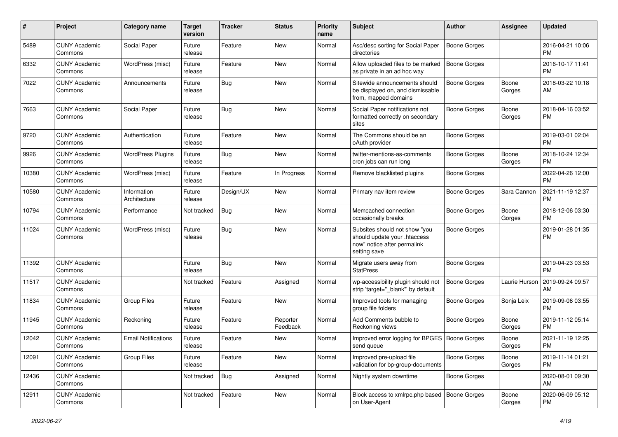| #     | Project                         | <b>Category name</b>        | <b>Target</b><br>version | <b>Tracker</b> | <b>Status</b>        | <b>Priority</b><br>name | <b>Subject</b>                                                                                               | <b>Author</b>       | Assignee        | <b>Updated</b>                |
|-------|---------------------------------|-----------------------------|--------------------------|----------------|----------------------|-------------------------|--------------------------------------------------------------------------------------------------------------|---------------------|-----------------|-------------------------------|
| 5489  | <b>CUNY Academic</b><br>Commons | Social Paper                | Future<br>release        | Feature        | <b>New</b>           | Normal                  | Asc/desc sorting for Social Paper<br>directories                                                             | <b>Boone Gorges</b> |                 | 2016-04-21 10:06<br><b>PM</b> |
| 6332  | <b>CUNY Academic</b><br>Commons | WordPress (misc)            | Future<br>release        | Feature        | <b>New</b>           | Normal                  | Allow uploaded files to be marked<br>as private in an ad hoc way                                             | <b>Boone Gorges</b> |                 | 2016-10-17 11:41<br><b>PM</b> |
| 7022  | <b>CUNY Academic</b><br>Commons | Announcements               | Future<br>release        | <b>Bug</b>     | <b>New</b>           | Normal                  | Sitewide announcements should<br>be displayed on, and dismissable<br>from, mapped domains                    | <b>Boone Gorges</b> | Boone<br>Gorges | 2018-03-22 10:18<br>AM        |
| 7663  | <b>CUNY Academic</b><br>Commons | Social Paper                | Future<br>release        | <b>Bug</b>     | <b>New</b>           | Normal                  | Social Paper notifications not<br>formatted correctly on secondary<br>sites                                  | <b>Boone Gorges</b> | Boone<br>Gorges | 2018-04-16 03:52<br><b>PM</b> |
| 9720  | <b>CUNY Academic</b><br>Commons | Authentication              | Future<br>release        | Feature        | <b>New</b>           | Normal                  | The Commons should be an<br>oAuth provider                                                                   | <b>Boone Gorges</b> |                 | 2019-03-01 02:04<br><b>PM</b> |
| 9926  | <b>CUNY Academic</b><br>Commons | <b>WordPress Plugins</b>    | Future<br>release        | Bug            | New                  | Normal                  | twitter-mentions-as-comments<br>cron jobs can run long                                                       | <b>Boone Gorges</b> | Boone<br>Gorges | 2018-10-24 12:34<br><b>PM</b> |
| 10380 | <b>CUNY Academic</b><br>Commons | WordPress (misc)            | Future<br>release        | Feature        | In Progress          | Normal                  | Remove blacklisted plugins                                                                                   | <b>Boone Gorges</b> |                 | 2022-04-26 12:00<br><b>PM</b> |
| 10580 | <b>CUNY Academic</b><br>Commons | Information<br>Architecture | Future<br>release        | Design/UX      | <b>New</b>           | Normal                  | Primary nav item review                                                                                      | Boone Gorges        | Sara Cannon     | 2021-11-19 12:37<br><b>PM</b> |
| 10794 | <b>CUNY Academic</b><br>Commons | Performance                 | Not tracked              | <b>Bug</b>     | <b>New</b>           | Normal                  | Memcached connection<br>occasionally breaks                                                                  | <b>Boone Gorges</b> | Boone<br>Gorges | 2018-12-06 03:30<br><b>PM</b> |
| 11024 | <b>CUNY Academic</b><br>Commons | WordPress (misc)            | Future<br>release        | <b>Bug</b>     | <b>New</b>           | Normal                  | Subsites should not show "you<br>should update your .htaccess<br>now" notice after permalink<br>setting save | <b>Boone Gorges</b> |                 | 2019-01-28 01:35<br><b>PM</b> |
| 11392 | <b>CUNY Academic</b><br>Commons |                             | Future<br>release        | Bug            | <b>New</b>           | Normal                  | Migrate users away from<br><b>StatPress</b>                                                                  | <b>Boone Gorges</b> |                 | 2019-04-23 03:53<br><b>PM</b> |
| 11517 | <b>CUNY Academic</b><br>Commons |                             | Not tracked              | Feature        | Assigned             | Normal                  | wp-accessibility plugin should not<br>strip 'target=" blank" by default                                      | <b>Boone Gorges</b> | Laurie Hurson   | 2019-09-24 09:57<br>AM        |
| 11834 | <b>CUNY Academic</b><br>Commons | <b>Group Files</b>          | Future<br>release        | Feature        | <b>New</b>           | Normal                  | Improved tools for managing<br>group file folders                                                            | <b>Boone Gorges</b> | Sonja Leix      | 2019-09-06 03:55<br><b>PM</b> |
| 11945 | <b>CUNY Academic</b><br>Commons | Reckoning                   | Future<br>release        | Feature        | Reporter<br>Feedback | Normal                  | Add Comments bubble to<br>Reckoning views                                                                    | <b>Boone Gorges</b> | Boone<br>Gorges | 2019-11-12 05:14<br><b>PM</b> |
| 12042 | <b>CUNY Academic</b><br>Commons | <b>Email Notifications</b>  | Future<br>release        | Feature        | <b>New</b>           | Normal                  | Improved error logging for BPGES<br>send queue                                                               | <b>Boone Gorges</b> | Boone<br>Gorges | 2021-11-19 12:25<br><b>PM</b> |
| 12091 | <b>CUNY Academic</b><br>Commons | Group Files                 | Future<br>release        | Feature        | New                  | Normal                  | Improved pre-upload file<br>validation for bp-group-documents                                                | <b>Boone Gorges</b> | Boone<br>Gorges | 2019-11-14 01:21<br><b>PM</b> |
| 12436 | <b>CUNY Academic</b><br>Commons |                             | Not tracked              | <b>Bug</b>     | Assigned             | Normal                  | Nightly system downtime                                                                                      | <b>Boone Gorges</b> |                 | 2020-08-01 09:30<br>AM        |
| 12911 | <b>CUNY Academic</b><br>Commons |                             | Not tracked              | Feature        | New                  | Normal                  | Block access to xmlrpc.php based<br>on User-Agent                                                            | Boone Gorges        | Boone<br>Gorges | 2020-06-09 05:12<br>PM        |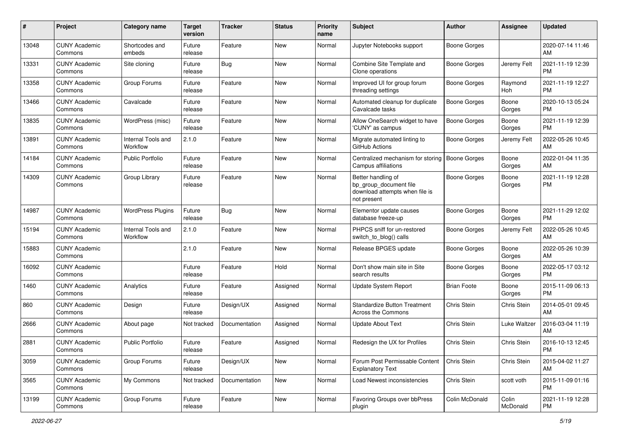| #     | Project                         | <b>Category name</b>           | <b>Target</b><br>version | <b>Tracker</b> | <b>Status</b> | <b>Priority</b><br>name | <b>Subject</b>                                                                                | Author              | <b>Assignee</b>   | <b>Updated</b>                |
|-------|---------------------------------|--------------------------------|--------------------------|----------------|---------------|-------------------------|-----------------------------------------------------------------------------------------------|---------------------|-------------------|-------------------------------|
| 13048 | <b>CUNY Academic</b><br>Commons | Shortcodes and<br>embeds       | Future<br>release        | Feature        | <b>New</b>    | Normal                  | Jupyter Notebooks support                                                                     | <b>Boone Gorges</b> |                   | 2020-07-14 11:46<br>AM        |
| 13331 | <b>CUNY Academic</b><br>Commons | Site cloning                   | Future<br>release        | Bug            | <b>New</b>    | Normal                  | Combine Site Template and<br>Clone operations                                                 | <b>Boone Gorges</b> | Jeremy Felt       | 2021-11-19 12:39<br><b>PM</b> |
| 13358 | <b>CUNY Academic</b><br>Commons | Group Forums                   | Future<br>release        | Feature        | New           | Normal                  | Improved UI for group forum<br>threading settings                                             | <b>Boone Gorges</b> | Raymond<br>Hoh    | 2021-11-19 12:27<br><b>PM</b> |
| 13466 | <b>CUNY Academic</b><br>Commons | Cavalcade                      | Future<br>release        | Feature        | New           | Normal                  | Automated cleanup for duplicate<br>Cavalcade tasks                                            | <b>Boone Gorges</b> | Boone<br>Gorges   | 2020-10-13 05:24<br><b>PM</b> |
| 13835 | <b>CUNY Academic</b><br>Commons | WordPress (misc)               | Future<br>release        | Feature        | <b>New</b>    | Normal                  | Allow OneSearch widget to have<br>'CUNY' as campus                                            | Boone Gorges        | Boone<br>Gorges   | 2021-11-19 12:39<br><b>PM</b> |
| 13891 | <b>CUNY Academic</b><br>Commons | Internal Tools and<br>Workflow | 2.1.0                    | Feature        | <b>New</b>    | Normal                  | Migrate automated linting to<br>GitHub Actions                                                | <b>Boone Gorges</b> | Jeremy Felt       | 2022-05-26 10:45<br>AM        |
| 14184 | <b>CUNY Academic</b><br>Commons | <b>Public Portfolio</b>        | Future<br>release        | Feature        | New           | Normal                  | Centralized mechanism for storing<br>Campus affiliations                                      | <b>Boone Gorges</b> | Boone<br>Gorges   | 2022-01-04 11:35<br>AM        |
| 14309 | <b>CUNY Academic</b><br>Commons | Group Library                  | Future<br>release        | Feature        | <b>New</b>    | Normal                  | Better handling of<br>bp_group_document file<br>download attempts when file is<br>not present | <b>Boone Gorges</b> | Boone<br>Gorges   | 2021-11-19 12:28<br><b>PM</b> |
| 14987 | <b>CUNY Academic</b><br>Commons | <b>WordPress Plugins</b>       | Future<br>release        | Bug            | New           | Normal                  | Elementor update causes<br>database freeze-up                                                 | Boone Gorges        | Boone<br>Gorges   | 2021-11-29 12:02<br><b>PM</b> |
| 15194 | <b>CUNY Academic</b><br>Commons | Internal Tools and<br>Workflow | 2.1.0                    | Feature        | New           | Normal                  | PHPCS sniff for un-restored<br>switch_to_blog() calls                                         | Boone Gorges        | Jeremy Felt       | 2022-05-26 10:45<br>AM        |
| 15883 | <b>CUNY Academic</b><br>Commons |                                | 2.1.0                    | Feature        | New           | Normal                  | Release BPGES update                                                                          | <b>Boone Gorges</b> | Boone<br>Gorges   | 2022-05-26 10:39<br>AM        |
| 16092 | <b>CUNY Academic</b><br>Commons |                                | Future<br>release        | Feature        | Hold          | Normal                  | Don't show main site in Site<br>search results                                                | <b>Boone Gorges</b> | Boone<br>Gorges   | 2022-05-17 03:12<br><b>PM</b> |
| 1460  | <b>CUNY Academic</b><br>Commons | Analytics                      | Future<br>release        | Feature        | Assigned      | Normal                  | Update System Report                                                                          | <b>Brian Foote</b>  | Boone<br>Gorges   | 2015-11-09 06:13<br><b>PM</b> |
| 860   | <b>CUNY Academic</b><br>Commons | Design                         | Future<br>release        | Design/UX      | Assigned      | Normal                  | <b>Standardize Button Treatment</b><br>Across the Commons                                     | <b>Chris Stein</b>  | Chris Stein       | 2014-05-01 09:45<br>AM        |
| 2666  | <b>CUNY Academic</b><br>Commons | About page                     | Not tracked              | Documentation  | Assigned      | Normal                  | Update About Text                                                                             | Chris Stein         | Luke Waltzer      | 2016-03-04 11:19<br>AM        |
| 2881  | <b>CUNY Academic</b><br>Commons | <b>Public Portfolio</b>        | Future<br>release        | Feature        | Assigned      | Normal                  | Redesign the UX for Profiles                                                                  | Chris Stein         | Chris Stein       | 2016-10-13 12:45<br>PM        |
| 3059  | <b>CUNY Academic</b><br>Commons | Group Forums                   | Future<br>release        | Design/UX      | New           | Normal                  | Forum Post Permissable Content<br><b>Explanatory Text</b>                                     | <b>Chris Stein</b>  | Chris Stein       | 2015-04-02 11:27<br>AM        |
| 3565  | <b>CUNY Academic</b><br>Commons | My Commons                     | Not tracked              | Documentation  | New           | Normal                  | Load Newest inconsistencies                                                                   | Chris Stein         | scott voth        | 2015-11-09 01:16<br>PM        |
| 13199 | <b>CUNY Academic</b><br>Commons | Group Forums                   | Future<br>release        | Feature        | New           | Normal                  | Favoring Groups over bbPress<br>plugin                                                        | Colin McDonald      | Colin<br>McDonald | 2021-11-19 12:28<br><b>PM</b> |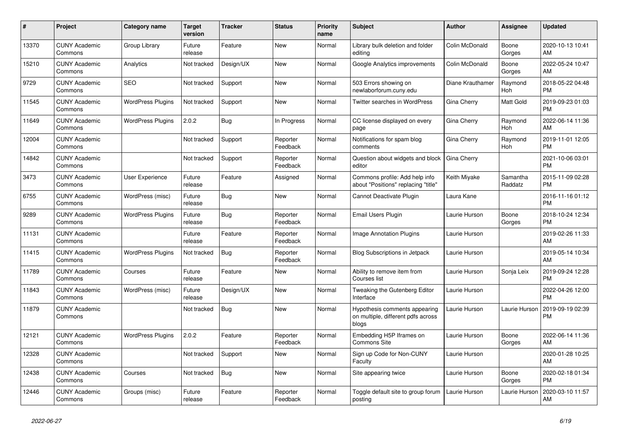| $\#$  | Project                         | <b>Category name</b>     | <b>Target</b><br>version | <b>Tracker</b> | <b>Status</b>        | <b>Priority</b><br>name | <b>Subject</b>                                                               | <b>Author</b>    | <b>Assignee</b>       | <b>Updated</b>                |
|-------|---------------------------------|--------------------------|--------------------------|----------------|----------------------|-------------------------|------------------------------------------------------------------------------|------------------|-----------------------|-------------------------------|
| 13370 | <b>CUNY Academic</b><br>Commons | Group Library            | Future<br>release        | Feature        | <b>New</b>           | Normal                  | Library bulk deletion and folder<br>editing                                  | Colin McDonald   | Boone<br>Gorges       | 2020-10-13 10:41<br>AM        |
| 15210 | <b>CUNY Academic</b><br>Commons | Analytics                | Not tracked              | Design/UX      | New                  | Normal                  | Google Analytics improvements                                                | Colin McDonald   | Boone<br>Gorges       | 2022-05-24 10:47<br>AM        |
| 9729  | <b>CUNY Academic</b><br>Commons | <b>SEO</b>               | Not tracked              | Support        | <b>New</b>           | Normal                  | 503 Errors showing on<br>newlaborforum.cuny.edu                              | Diane Krauthamer | Raymond<br>Hoh        | 2018-05-22 04:48<br><b>PM</b> |
| 11545 | <b>CUNY Academic</b><br>Commons | <b>WordPress Plugins</b> | Not tracked              | Support        | <b>New</b>           | Normal                  | Twitter searches in WordPress                                                | Gina Cherry      | <b>Matt Gold</b>      | 2019-09-23 01:03<br><b>PM</b> |
| 11649 | <b>CUNY Academic</b><br>Commons | <b>WordPress Plugins</b> | 2.0.2                    | Bug            | In Progress          | Normal                  | CC license displayed on every<br>page                                        | Gina Cherry      | Raymond<br>Hoh        | 2022-06-14 11:36<br>AM        |
| 12004 | <b>CUNY Academic</b><br>Commons |                          | Not tracked              | Support        | Reporter<br>Feedback | Normal                  | Notifications for spam blog<br>comments                                      | Gina Cherry      | Raymond<br><b>Hoh</b> | 2019-11-01 12:05<br><b>PM</b> |
| 14842 | <b>CUNY Academic</b><br>Commons |                          | Not tracked              | Support        | Reporter<br>Feedback | Normal                  | Question about widgets and block<br>editor                                   | Gina Cherry      |                       | 2021-10-06 03:01<br><b>PM</b> |
| 3473  | <b>CUNY Academic</b><br>Commons | User Experience          | Future<br>release        | Feature        | Assigned             | Normal                  | Commons profile: Add help info<br>about "Positions" replacing "title"        | Keith Miyake     | Samantha<br>Raddatz   | 2015-11-09 02:28<br><b>PM</b> |
| 6755  | <b>CUNY Academic</b><br>Commons | WordPress (misc)         | Future<br>release        | Bug            | New                  | Normal                  | Cannot Deactivate Plugin                                                     | Laura Kane       |                       | 2016-11-16 01:12<br><b>PM</b> |
| 9289  | <b>CUNY Academic</b><br>Commons | <b>WordPress Plugins</b> | Future<br>release        | <b>Bug</b>     | Reporter<br>Feedback | Normal                  | Email Users Plugin                                                           | Laurie Hurson    | Boone<br>Gorges       | 2018-10-24 12:34<br><b>PM</b> |
| 11131 | <b>CUNY Academic</b><br>Commons |                          | Future<br>release        | Feature        | Reporter<br>Feedback | Normal                  | <b>Image Annotation Plugins</b>                                              | Laurie Hurson    |                       | 2019-02-26 11:33<br>AM        |
| 11415 | <b>CUNY Academic</b><br>Commons | <b>WordPress Plugins</b> | Not tracked              | <b>Bug</b>     | Reporter<br>Feedback | Normal                  | <b>Blog Subscriptions in Jetpack</b>                                         | Laurie Hurson    |                       | 2019-05-14 10:34<br>AM        |
| 11789 | <b>CUNY Academic</b><br>Commons | Courses                  | Future<br>release        | Feature        | New                  | Normal                  | Ability to remove item from<br>Courses list                                  | Laurie Hurson    | Sonja Leix            | 2019-09-24 12:28<br><b>PM</b> |
| 11843 | <b>CUNY Academic</b><br>Commons | WordPress (misc)         | Future<br>release        | Design/UX      | <b>New</b>           | Normal                  | Tweaking the Gutenberg Editor<br>Interface                                   | Laurie Hurson    |                       | 2022-04-26 12:00<br><b>PM</b> |
| 11879 | <b>CUNY Academic</b><br>Commons |                          | Not tracked              | <b>Bug</b>     | <b>New</b>           | Normal                  | Hypothesis comments appearing<br>on multiple, different pdfs across<br>blogs | Laurie Hurson    | Laurie Hurson         | 2019-09-19 02:39<br><b>PM</b> |
| 12121 | <b>CUNY Academic</b><br>Commons | <b>WordPress Plugins</b> | 2.0.2                    | Feature        | Reporter<br>Feedback | Normal                  | Embedding H5P Iframes on<br><b>Commons Site</b>                              | Laurie Hurson    | Boone<br>Gorges       | 2022-06-14 11:36<br>AM        |
| 12328 | <b>CUNY Academic</b><br>Commons |                          | Not tracked              | Support        | <b>New</b>           | Normal                  | Sign up Code for Non-CUNY<br>Faculty                                         | Laurie Hurson    |                       | 2020-01-28 10:25<br>AM        |
| 12438 | <b>CUNY Academic</b><br>Commons | Courses                  | Not tracked              | <b>Bug</b>     | <b>New</b>           | Normal                  | Site appearing twice                                                         | Laurie Hurson    | Boone<br>Gorges       | 2020-02-18 01:34<br><b>PM</b> |
| 12446 | <b>CUNY Academic</b><br>Commons | Groups (misc)            | Future<br>release        | Feature        | Reporter<br>Feedback | Normal                  | Toggle default site to group forum<br>posting                                | Laurie Hurson    | Laurie Hurson         | 2020-03-10 11:57<br>AM        |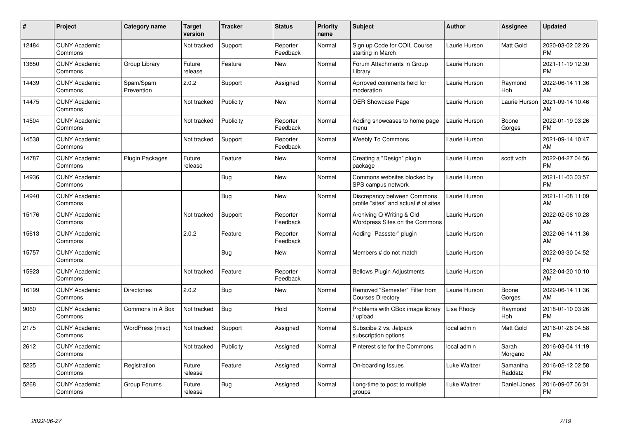| #     | Project                         | <b>Category name</b>    | <b>Target</b><br>version | <b>Tracker</b> | <b>Status</b>        | <b>Priority</b><br>name | <b>Subject</b>                                                       | Author        | <b>Assignee</b>     | <b>Updated</b>                |
|-------|---------------------------------|-------------------------|--------------------------|----------------|----------------------|-------------------------|----------------------------------------------------------------------|---------------|---------------------|-------------------------------|
| 12484 | <b>CUNY Academic</b><br>Commons |                         | Not tracked              | Support        | Reporter<br>Feedback | Normal                  | Sign up Code for COIL Course<br>starting in March                    | Laurie Hurson | Matt Gold           | 2020-03-02 02:26<br><b>PM</b> |
| 13650 | <b>CUNY Academic</b><br>Commons | Group Library           | Future<br>release        | Feature        | <b>New</b>           | Normal                  | Forum Attachments in Group<br>Library                                | Laurie Hurson |                     | 2021-11-19 12:30<br><b>PM</b> |
| 14439 | <b>CUNY Academic</b><br>Commons | Spam/Spam<br>Prevention | 2.0.2                    | Support        | Assigned             | Normal                  | Aprroved comments held for<br>moderation                             | Laurie Hurson | Raymond<br>Hoh      | 2022-06-14 11:36<br>AM        |
| 14475 | <b>CUNY Academic</b><br>Commons |                         | Not tracked              | Publicity      | <b>New</b>           | Normal                  | <b>OER Showcase Page</b>                                             | Laurie Hurson | Laurie Hurson       | 2021-09-14 10:46<br>AM        |
| 14504 | <b>CUNY Academic</b><br>Commons |                         | Not tracked              | Publicity      | Reporter<br>Feedback | Normal                  | Adding showcases to home page<br>menu                                | Laurie Hurson | Boone<br>Gorges     | 2022-01-19 03:26<br><b>PM</b> |
| 14538 | <b>CUNY Academic</b><br>Commons |                         | Not tracked              | Support        | Reporter<br>Feedback | Normal                  | <b>Weebly To Commons</b>                                             | Laurie Hurson |                     | 2021-09-14 10:47<br>AM        |
| 14787 | <b>CUNY Academic</b><br>Commons | Plugin Packages         | Future<br>release        | Feature        | <b>New</b>           | Normal                  | Creating a "Design" plugin<br>package                                | Laurie Hurson | scott voth          | 2022-04-27 04:56<br><b>PM</b> |
| 14936 | <b>CUNY Academic</b><br>Commons |                         |                          | <b>Bug</b>     | <b>New</b>           | Normal                  | Commons websites blocked by<br>SPS campus network                    | Laurie Hurson |                     | 2021-11-03 03:57<br><b>PM</b> |
| 14940 | <b>CUNY Academic</b><br>Commons |                         |                          | Bug            | <b>New</b>           | Normal                  | Discrepancy between Commons<br>profile "sites" and actual # of sites | Laurie Hurson |                     | 2021-11-08 11:09<br>AM        |
| 15176 | <b>CUNY Academic</b><br>Commons |                         | Not tracked              | Support        | Reporter<br>Feedback | Normal                  | Archiving Q Writing & Old<br>Wordpress Sites on the Commons          | Laurie Hurson |                     | 2022-02-08 10:28<br>AM        |
| 15613 | <b>CUNY Academic</b><br>Commons |                         | 2.0.2                    | Feature        | Reporter<br>Feedback | Normal                  | Adding "Passster" plugin                                             | Laurie Hurson |                     | 2022-06-14 11:36<br>AM        |
| 15757 | <b>CUNY Academic</b><br>Commons |                         |                          | Bug            | New                  | Normal                  | Members # do not match                                               | Laurie Hurson |                     | 2022-03-30 04:52<br><b>PM</b> |
| 15923 | <b>CUNY Academic</b><br>Commons |                         | Not tracked              | Feature        | Reporter<br>Feedback | Normal                  | <b>Bellows Plugin Adjustments</b>                                    | Laurie Hurson |                     | 2022-04-20 10:10<br>AM        |
| 16199 | <b>CUNY Academic</b><br>Commons | Directories             | 2.0.2                    | Bug            | <b>New</b>           | Normal                  | Removed "Semester" Filter from<br><b>Courses Directory</b>           | Laurie Hurson | Boone<br>Gorges     | 2022-06-14 11:36<br>AM        |
| 9060  | <b>CUNY Academic</b><br>Commons | Commons In A Box        | Not tracked              | Bug            | Hold                 | Normal                  | Problems with CBox image library<br>upload                           | Lisa Rhody    | Raymond<br>Hoh      | 2018-01-10 03:26<br><b>PM</b> |
| 2175  | <b>CUNY Academic</b><br>Commons | WordPress (misc)        | Not tracked              | Support        | Assigned             | Normal                  | Subscibe 2 vs. Jetpack<br>subscription options                       | local admin   | Matt Gold           | 2016-01-26 04:58<br><b>PM</b> |
| 2612  | <b>CUNY Academic</b><br>Commons |                         | Not tracked              | Publicity      | Assigned             | Normal                  | Pinterest site for the Commons                                       | local admin   | Sarah<br>Morgano    | 2016-03-04 11:19<br>AM        |
| 5225  | <b>CUNY Academic</b><br>Commons | Registration            | Future<br>release        | Feature        | Assigned             | Normal                  | On-boarding Issues                                                   | Luke Waltzer  | Samantha<br>Raddatz | 2016-02-12 02:58<br><b>PM</b> |
| 5268  | <b>CUNY Academic</b><br>Commons | Group Forums            | Future<br>release        | <b>Bug</b>     | Assigned             | Normal                  | Long-time to post to multiple<br>groups                              | Luke Waltzer  | Daniel Jones        | 2016-09-07 06:31<br><b>PM</b> |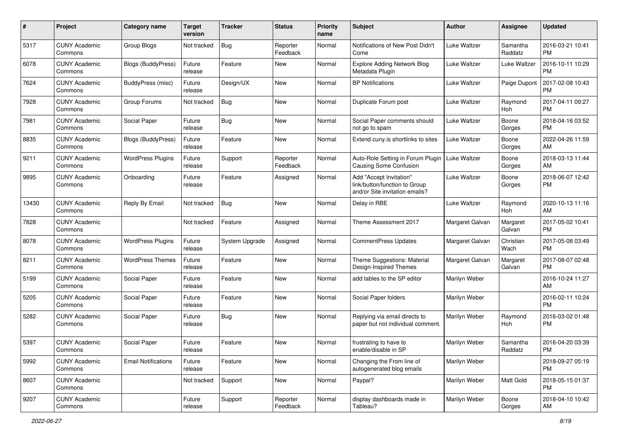| #     | Project                         | <b>Category name</b>       | <b>Target</b><br>version | <b>Tracker</b>        | <b>Status</b>        | <b>Priority</b><br>name | Subject                                                                                    | Author              | <b>Assignee</b>     | <b>Updated</b>                |
|-------|---------------------------------|----------------------------|--------------------------|-----------------------|----------------------|-------------------------|--------------------------------------------------------------------------------------------|---------------------|---------------------|-------------------------------|
| 5317  | <b>CUNY Academic</b><br>Commons | Group Blogs                | Not tracked              | <b>Bug</b>            | Reporter<br>Feedback | Normal                  | Notifications of New Post Didn't<br>Come                                                   | Luke Waltzer        | Samantha<br>Raddatz | 2016-03-21 10:41<br>PM        |
| 6078  | <b>CUNY Academic</b><br>Commons | Blogs (BuddyPress)         | Future<br>release        | Feature               | New                  | Normal                  | <b>Explore Adding Network Blog</b><br>Metadata Plugin                                      | Luke Waltzer        | Luke Waltzer        | 2016-10-11 10:29<br><b>PM</b> |
| 7624  | <b>CUNY Academic</b><br>Commons | BuddyPress (misc)          | Future<br>release        | Design/UX             | New                  | Normal                  | <b>BP Notifications</b>                                                                    | Luke Waltzer        | Paige Dupont        | 2017-02-08 10:43<br><b>PM</b> |
| 7928  | <b>CUNY Academic</b><br>Commons | Group Forums               | Not tracked              | Bug                   | New                  | Normal                  | Duplicate Forum post                                                                       | <b>Luke Waltzer</b> | Raymond<br>Hoh      | 2017-04-11 09:27<br><b>PM</b> |
| 7981  | <b>CUNY Academic</b><br>Commons | Social Paper               | Future<br>release        | Bug                   | New                  | Normal                  | Social Paper comments should<br>not go to spam                                             | Luke Waltzer        | Boone<br>Gorges     | 2018-04-16 03:52<br><b>PM</b> |
| 8835  | <b>CUNY Academic</b><br>Commons | <b>Blogs (BuddyPress)</b>  | Future<br>release        | Feature               | New                  | Normal                  | Extend cuny.is shortlinks to sites                                                         | Luke Waltzer        | Boone<br>Gorges     | 2022-04-26 11:59<br>AM        |
| 9211  | <b>CUNY Academic</b><br>Commons | <b>WordPress Plugins</b>   | Future<br>release        | Support               | Reporter<br>Feedback | Normal                  | Auto-Role Setting in Forum Plugin<br>Causing Some Confusion                                | Luke Waltzer        | Boone<br>Gorges     | 2018-03-13 11:44<br>AM        |
| 9895  | <b>CUNY Academic</b><br>Commons | Onboarding                 | Future<br>release        | Feature               | Assigned             | Normal                  | Add "Accept Invitation"<br>link/button/function to Group<br>and/or Site invitation emails? | Luke Waltzer        | Boone<br>Gorges     | 2018-06-07 12:42<br><b>PM</b> |
| 13430 | <b>CUNY Academic</b><br>Commons | Reply By Email             | Not tracked              | Bug                   | New                  | Normal                  | Delay in RBE                                                                               | Luke Waltzer        | Raymond<br>Hoh      | 2020-10-13 11:16<br>AM        |
| 7828  | <b>CUNY Academic</b><br>Commons |                            | Not tracked              | Feature               | Assigned             | Normal                  | Theme Assessment 2017                                                                      | Margaret Galvan     | Margaret<br>Galvan  | 2017-05-02 10:41<br><b>PM</b> |
| 8078  | <b>CUNY Academic</b><br>Commons | <b>WordPress Plugins</b>   | Future<br>release        | <b>System Upgrade</b> | Assigned             | Normal                  | <b>CommentPress Updates</b>                                                                | Margaret Galvan     | Christian<br>Wach   | 2017-05-08 03:49<br><b>PM</b> |
| 8211  | <b>CUNY Academic</b><br>Commons | <b>WordPress Themes</b>    | Future<br>release        | Feature               | New                  | Normal                  | Theme Suggestions: Material<br>Design-Inspired Themes                                      | Margaret Galvan     | Margaret<br>Galvan  | 2017-08-07 02:48<br><b>PM</b> |
| 5199  | <b>CUNY Academic</b><br>Commons | Social Paper               | Future<br>release        | Feature               | New                  | Normal                  | add tables to the SP editor                                                                | Marilyn Weber       |                     | 2016-10-24 11:27<br>AM        |
| 5205  | <b>CUNY Academic</b><br>Commons | Social Paper               | Future<br>release        | Feature               | New                  | Normal                  | Social Paper folders                                                                       | Marilyn Weber       |                     | 2016-02-11 10:24<br><b>PM</b> |
| 5282  | <b>CUNY Academic</b><br>Commons | Social Paper               | Future<br>release        | Bug                   | New                  | Normal                  | Replying via email directs to<br>paper but not individual comment.                         | Marilyn Weber       | Raymond<br>Hoh      | 2016-03-02 01:48<br><b>PM</b> |
| 5397  | <b>CUNY Academic</b><br>Commons | Social Paper               | Future<br>release        | Feature               | New                  | Normal                  | frustrating to have to<br>enable/disable in SP                                             | Marilyn Weber       | Samantha<br>Raddatz | 2016-04-20 03:39<br>PM        |
| 5992  | <b>CUNY Academic</b><br>Commons | <b>Email Notifications</b> | Future<br>release        | Feature               | New                  | Normal                  | Changing the From line of<br>autogenerated blog emails                                     | Marilyn Weber       |                     | 2018-09-27 05:19<br>PM        |
| 8607  | <b>CUNY Academic</b><br>Commons |                            | Not tracked              | Support               | New                  | Normal                  | Paypal?                                                                                    | Marilyn Weber       | Matt Gold           | 2018-05-15 01:37<br><b>PM</b> |
| 9207  | <b>CUNY Academic</b><br>Commons |                            | Future<br>release        | Support               | Reporter<br>Feedback | Normal                  | display dashboards made in<br>Tableau?                                                     | Marilyn Weber       | Boone<br>Gorges     | 2018-04-10 10:42<br>AM        |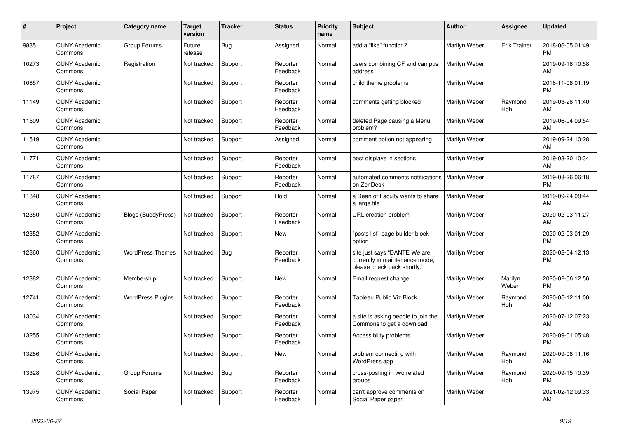| #     | Project                         | <b>Category name</b>      | <b>Target</b><br>version | <b>Tracker</b> | <b>Status</b>        | Priority<br>name | <b>Subject</b>                                                                                | <b>Author</b>        | Assignee            | <b>Updated</b>                |
|-------|---------------------------------|---------------------------|--------------------------|----------------|----------------------|------------------|-----------------------------------------------------------------------------------------------|----------------------|---------------------|-------------------------------|
| 9835  | <b>CUNY Academic</b><br>Commons | Group Forums              | Future<br>release        | Bug            | Assigned             | Normal           | add a "like" function?                                                                        | Marilyn Weber        | <b>Erik Trainer</b> | 2018-06-05 01:49<br><b>PM</b> |
| 10273 | <b>CUNY Academic</b><br>Commons | Registration              | Not tracked              | Support        | Reporter<br>Feedback | Normal           | users combining CF and campus<br>address                                                      | Marilyn Weber        |                     | 2019-09-18 10:58<br>AM        |
| 10657 | <b>CUNY Academic</b><br>Commons |                           | Not tracked              | Support        | Reporter<br>Feedback | Normal           | child theme problems                                                                          | Marilyn Weber        |                     | 2018-11-08 01:19<br><b>PM</b> |
| 11149 | <b>CUNY Academic</b><br>Commons |                           | Not tracked              | Support        | Reporter<br>Feedback | Normal           | comments getting blocked                                                                      | Marilyn Weber        | Raymond<br>Hoh      | 2019-03-26 11:40<br>AM        |
| 11509 | <b>CUNY Academic</b><br>Commons |                           | Not tracked              | Support        | Reporter<br>Feedback | Normal           | deleted Page causing a Menu<br>problem?                                                       | Marilyn Weber        |                     | 2019-06-04 09:54<br>AM        |
| 11519 | <b>CUNY Academic</b><br>Commons |                           | Not tracked              | Support        | Assigned             | Normal           | comment option not appearing                                                                  | Marilyn Weber        |                     | 2019-09-24 10:28<br>AM        |
| 11771 | <b>CUNY Academic</b><br>Commons |                           | Not tracked              | Support        | Reporter<br>Feedback | Normal           | post displays in sections                                                                     | Marilyn Weber        |                     | 2019-08-20 10:34<br>AM        |
| 11787 | <b>CUNY Academic</b><br>Commons |                           | Not tracked              | Support        | Reporter<br>Feedback | Normal           | automated comments notifications<br>on ZenDesk                                                | <b>Marilyn Weber</b> |                     | 2019-08-26 06:18<br><b>PM</b> |
| 11848 | <b>CUNY Academic</b><br>Commons |                           | Not tracked              | Support        | Hold                 | Normal           | a Dean of Faculty wants to share<br>a large file                                              | Marilyn Weber        |                     | 2019-09-24 08:44<br>AM        |
| 12350 | <b>CUNY Academic</b><br>Commons | <b>Blogs (BuddyPress)</b> | Not tracked              | Support        | Reporter<br>Feedback | Normal           | URL creation problem                                                                          | Marilyn Weber        |                     | 2020-02-03 11:27<br>AM        |
| 12352 | <b>CUNY Academic</b><br>Commons |                           | Not tracked              | Support        | <b>New</b>           | Normal           | 'posts list" page builder block<br>option                                                     | Marilyn Weber        |                     | 2020-02-03 01:29<br><b>PM</b> |
| 12360 | <b>CUNY Academic</b><br>Commons | <b>WordPress Themes</b>   | Not tracked              | <b>Bug</b>     | Reporter<br>Feedback | Normal           | site just says "DANTE We are<br>currently in maintenance mode,<br>please check back shortly." | Marilyn Weber        |                     | 2020-02-04 12:13<br><b>PM</b> |
| 12382 | <b>CUNY Academic</b><br>Commons | Membership                | Not tracked              | Support        | <b>New</b>           | Normal           | Email request change                                                                          | Marilyn Weber        | Marilyn<br>Weber    | 2020-02-06 12:56<br><b>PM</b> |
| 12741 | <b>CUNY Academic</b><br>Commons | <b>WordPress Plugins</b>  | Not tracked              | Support        | Reporter<br>Feedback | Normal           | <b>Tableau Public Viz Block</b>                                                               | Marilyn Weber        | Raymond<br>Hoh      | 2020-05-12 11:00<br>AM        |
| 13034 | <b>CUNY Academic</b><br>Commons |                           | Not tracked              | Support        | Reporter<br>Feedback | Normal           | a site is asking people to join the<br>Commons to get a download                              | Marilyn Weber        |                     | 2020-07-12 07:23<br>AM        |
| 13255 | <b>CUNY Academic</b><br>Commons |                           | Not tracked              | Support        | Reporter<br>Feedback | Normal           | Accessibility problems                                                                        | Marilyn Weber        |                     | 2020-09-01 05:48<br><b>PM</b> |
| 13286 | <b>CUNY Academic</b><br>Commons |                           | Not tracked              | Support        | <b>New</b>           | Normal           | problem connecting with<br>WordPress app                                                      | Marilyn Weber        | Raymond<br>Hoh      | 2020-09-08 11:16<br>AM        |
| 13328 | <b>CUNY Academic</b><br>Commons | Group Forums              | Not tracked              | <b>Bug</b>     | Reporter<br>Feedback | Normal           | cross-posting in two related<br>groups                                                        | Marilyn Weber        | Raymond<br>Hoh      | 2020-09-15 10:39<br><b>PM</b> |
| 13975 | <b>CUNY Academic</b><br>Commons | Social Paper              | Not tracked              | Support        | Reporter<br>Feedback | Normal           | can't approve comments on<br>Social Paper paper                                               | Marilyn Weber        |                     | 2021-02-12 09:33<br>AM        |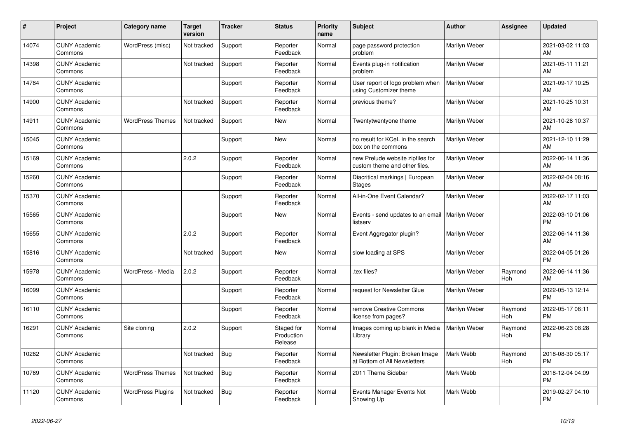| #     | Project                         | <b>Category name</b>     | <b>Target</b><br>version | <b>Tracker</b> | <b>Status</b>                       | <b>Priority</b><br>name | <b>Subject</b>                                                    | <b>Author</b> | <b>Assignee</b> | <b>Updated</b>                |
|-------|---------------------------------|--------------------------|--------------------------|----------------|-------------------------------------|-------------------------|-------------------------------------------------------------------|---------------|-----------------|-------------------------------|
| 14074 | <b>CUNY Academic</b><br>Commons | WordPress (misc)         | Not tracked              | Support        | Reporter<br>Feedback                | Normal                  | page password protection<br>problem                               | Marilyn Weber |                 | 2021-03-02 11:03<br>AM        |
| 14398 | <b>CUNY Academic</b><br>Commons |                          | Not tracked              | Support        | Reporter<br>Feedback                | Normal                  | Events plug-in notification<br>problem                            | Marilyn Weber |                 | 2021-05-11 11:21<br>AM        |
| 14784 | <b>CUNY Academic</b><br>Commons |                          |                          | Support        | Reporter<br>Feedback                | Normal                  | User report of logo problem when<br>using Customizer theme        | Marilyn Weber |                 | 2021-09-17 10:25<br>AM        |
| 14900 | <b>CUNY Academic</b><br>Commons |                          | Not tracked              | Support        | Reporter<br>Feedback                | Normal                  | previous theme?                                                   | Marilyn Weber |                 | 2021-10-25 10:31<br>AM        |
| 14911 | <b>CUNY Academic</b><br>Commons | <b>WordPress Themes</b>  | Not tracked              | Support        | New                                 | Normal                  | Twentytwentyone theme                                             | Marilyn Weber |                 | 2021-10-28 10:37<br>AM        |
| 15045 | <b>CUNY Academic</b><br>Commons |                          |                          | Support        | New                                 | Normal                  | no result for KCeL in the search<br>box on the commons            | Marilyn Weber |                 | 2021-12-10 11:29<br>AM        |
| 15169 | <b>CUNY Academic</b><br>Commons |                          | 2.0.2                    | Support        | Reporter<br>Feedback                | Normal                  | new Prelude website zipfiles for<br>custom theme and other files. | Marilyn Weber |                 | 2022-06-14 11:36<br>AM        |
| 15260 | <b>CUNY Academic</b><br>Commons |                          |                          | Support        | Reporter<br>Feedback                | Normal                  | Diacritical markings   European<br>Stages                         | Marilyn Weber |                 | 2022-02-04 08:16<br>AM        |
| 15370 | <b>CUNY Academic</b><br>Commons |                          |                          | Support        | Reporter<br>Feedback                | Normal                  | All-in-One Event Calendar?                                        | Marilyn Weber |                 | 2022-02-17 11:03<br>AM        |
| 15565 | <b>CUNY Academic</b><br>Commons |                          |                          | Support        | New                                 | Normal                  | Events - send updates to an email   Marilyn Weber<br>listserv     |               |                 | 2022-03-10 01:06<br><b>PM</b> |
| 15655 | <b>CUNY Academic</b><br>Commons |                          | 2.0.2                    | Support        | Reporter<br>Feedback                | Normal                  | Event Aggregator plugin?                                          | Marilyn Weber |                 | 2022-06-14 11:36<br>AM        |
| 15816 | <b>CUNY Academic</b><br>Commons |                          | Not tracked              | Support        | New                                 | Normal                  | slow loading at SPS                                               | Marilyn Weber |                 | 2022-04-05 01:26<br><b>PM</b> |
| 15978 | <b>CUNY Academic</b><br>Commons | WordPress - Media        | 2.0.2                    | Support        | Reporter<br>Feedback                | Normal                  | tex files?                                                        | Marilyn Weber | Raymond<br>Hoh  | 2022-06-14 11:36<br>AM        |
| 16099 | <b>CUNY Academic</b><br>Commons |                          |                          | Support        | Reporter<br>Feedback                | Normal                  | request for Newsletter Glue                                       | Marilyn Weber |                 | 2022-05-13 12:14<br><b>PM</b> |
| 16110 | <b>CUNY Academic</b><br>Commons |                          |                          | Support        | Reporter<br>Feedback                | Normal                  | remove Creative Commons<br>license from pages?                    | Marilyn Weber | Raymond<br>Hoh  | 2022-05-17 06:11<br><b>PM</b> |
| 16291 | <b>CUNY Academic</b><br>Commons | Site cloning             | 2.0.2                    | Support        | Staged for<br>Production<br>Release | Normal                  | Images coming up blank in Media<br>Library                        | Marilyn Weber | Raymond<br>Hoh  | 2022-06-23 08:28<br><b>PM</b> |
| 10262 | <b>CUNY Academic</b><br>Commons |                          | Not tracked              | <b>Bug</b>     | Reporter<br>Feedback                | Normal                  | Newsletter Plugin: Broken Image<br>at Bottom of All Newsletters   | Mark Webb     | Raymond<br>Hoh  | 2018-08-30 05:17<br><b>PM</b> |
| 10769 | <b>CUNY Academic</b><br>Commons | <b>WordPress Themes</b>  | Not tracked              | <b>Bug</b>     | Reporter<br>Feedback                | Normal                  | 2011 Theme Sidebar                                                | Mark Webb     |                 | 2018-12-04 04:09<br><b>PM</b> |
| 11120 | <b>CUNY Academic</b><br>Commons | <b>WordPress Plugins</b> | Not tracked              | <b>Bug</b>     | Reporter<br>Feedback                | Normal                  | Events Manager Events Not<br>Showing Up                           | Mark Webb     |                 | 2019-02-27 04:10<br><b>PM</b> |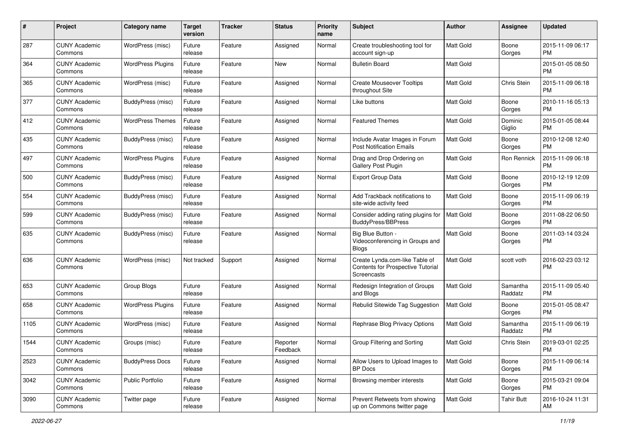| #    | Project                         | <b>Category name</b>     | <b>Target</b><br>version | <b>Tracker</b> | <b>Status</b>        | <b>Priority</b><br>name | Subject                                                                            | Author           | Assignee            | <b>Updated</b>                |
|------|---------------------------------|--------------------------|--------------------------|----------------|----------------------|-------------------------|------------------------------------------------------------------------------------|------------------|---------------------|-------------------------------|
| 287  | <b>CUNY Academic</b><br>Commons | WordPress (misc)         | Future<br>release        | Feature        | Assigned             | Normal                  | Create troubleshooting tool for<br>account sign-up                                 | <b>Matt Gold</b> | Boone<br>Gorges     | 2015-11-09 06:17<br><b>PM</b> |
| 364  | <b>CUNY Academic</b><br>Commons | <b>WordPress Plugins</b> | Future<br>release        | Feature        | New                  | Normal                  | <b>Bulletin Board</b>                                                              | <b>Matt Gold</b> |                     | 2015-01-05 08:50<br><b>PM</b> |
| 365  | CUNY Academic<br>Commons        | WordPress (misc)         | Future<br>release        | Feature        | Assigned             | Normal                  | <b>Create Mouseover Tooltips</b><br>throughout Site                                | <b>Matt Gold</b> | Chris Stein         | 2015-11-09 06:18<br><b>PM</b> |
| 377  | <b>CUNY Academic</b><br>Commons | BuddyPress (misc)        | Future<br>release        | Feature        | Assigned             | Normal                  | Like buttons                                                                       | <b>Matt Gold</b> | Boone<br>Gorges     | 2010-11-16 05:13<br><b>PM</b> |
| 412  | CUNY Academic<br>Commons        | <b>WordPress Themes</b>  | Future<br>release        | Feature        | Assigned             | Normal                  | <b>Featured Themes</b>                                                             | <b>Matt Gold</b> | Dominic<br>Giglio   | 2015-01-05 08:44<br><b>PM</b> |
| 435  | <b>CUNY Academic</b><br>Commons | BuddyPress (misc)        | Future<br>release        | Feature        | Assigned             | Normal                  | Include Avatar Images in Forum<br><b>Post Notification Emails</b>                  | <b>Matt Gold</b> | Boone<br>Gorges     | 2010-12-08 12:40<br><b>PM</b> |
| 497  | <b>CUNY Academic</b><br>Commons | <b>WordPress Plugins</b> | Future<br>release        | Feature        | Assigned             | Normal                  | Drag and Drop Ordering on<br>Gallery Post Plugin                                   | Matt Gold        | Ron Rennick         | 2015-11-09 06:18<br><b>PM</b> |
| 500  | <b>CUNY Academic</b><br>Commons | BuddyPress (misc)        | Future<br>release        | Feature        | Assigned             | Normal                  | <b>Export Group Data</b>                                                           | <b>Matt Gold</b> | Boone<br>Gorges     | 2010-12-19 12:09<br><b>PM</b> |
| 554  | <b>CUNY Academic</b><br>Commons | BuddyPress (misc)        | Future<br>release        | Feature        | Assigned             | Normal                  | Add Trackback notifications to<br>site-wide activity feed                          | <b>Matt Gold</b> | Boone<br>Gorges     | 2015-11-09 06:19<br><b>PM</b> |
| 599  | CUNY Academic<br>Commons        | BuddyPress (misc)        | Future<br>release        | Feature        | Assigned             | Normal                  | Consider adding rating plugins for<br>BuddyPress/BBPress                           | <b>Matt Gold</b> | Boone<br>Gorges     | 2011-08-22 06:50<br><b>PM</b> |
| 635  | <b>CUNY Academic</b><br>Commons | BuddyPress (misc)        | Future<br>release        | Feature        | Assigned             | Normal                  | Big Blue Button -<br>Videoconferencing in Groups and<br>Blogs                      | <b>Matt Gold</b> | Boone<br>Gorges     | 2011-03-14 03:24<br><b>PM</b> |
| 636  | <b>CUNY Academic</b><br>Commons | WordPress (misc)         | Not tracked              | Support        | Assigned             | Normal                  | Create Lynda.com-like Table of<br>Contents for Prospective Tutorial<br>Screencasts | <b>Matt Gold</b> | scott voth          | 2016-02-23 03:12<br><b>PM</b> |
| 653  | <b>CUNY Academic</b><br>Commons | Group Blogs              | Future<br>release        | Feature        | Assigned             | Normal                  | Redesign Integration of Groups<br>and Blogs                                        | Matt Gold        | Samantha<br>Raddatz | 2015-11-09 05:40<br><b>PM</b> |
| 658  | <b>CUNY Academic</b><br>Commons | <b>WordPress Plugins</b> | Future<br>release        | Feature        | Assigned             | Normal                  | Rebulid Sitewide Tag Suggestion                                                    | <b>Matt Gold</b> | Boone<br>Gorges     | 2015-01-05 08:47<br><b>PM</b> |
| 1105 | <b>CUNY Academic</b><br>Commons | WordPress (misc)         | Future<br>release        | Feature        | Assigned             | Normal                  | Rephrase Blog Privacy Options                                                      | Matt Gold        | Samantha<br>Raddatz | 2015-11-09 06:19<br><b>PM</b> |
| 1544 | <b>CUNY Academic</b><br>Commons | Groups (misc)            | Future<br>release        | Feature        | Reporter<br>Feedback | Normal                  | Group Filtering and Sorting                                                        | Matt Gold        | Chris Stein         | 2019-03-01 02:25<br>PM        |
| 2523 | <b>CUNY Academic</b><br>Commons | <b>BuddyPress Docs</b>   | Future<br>release        | Feature        | Assigned             | Normal                  | Allow Users to Upload Images to<br><b>BP</b> Docs                                  | Matt Gold        | Boone<br>Gorges     | 2015-11-09 06:14<br><b>PM</b> |
| 3042 | <b>CUNY Academic</b><br>Commons | Public Portfolio         | Future<br>release        | Feature        | Assigned             | Normal                  | Browsing member interests                                                          | Matt Gold        | Boone<br>Gorges     | 2015-03-21 09:04<br><b>PM</b> |
| 3090 | <b>CUNY Academic</b><br>Commons | Twitter page             | Future<br>release        | Feature        | Assigned             | Normal                  | Prevent Retweets from showing<br>up on Commons twitter page                        | Matt Gold        | <b>Tahir Butt</b>   | 2016-10-24 11:31<br>AM        |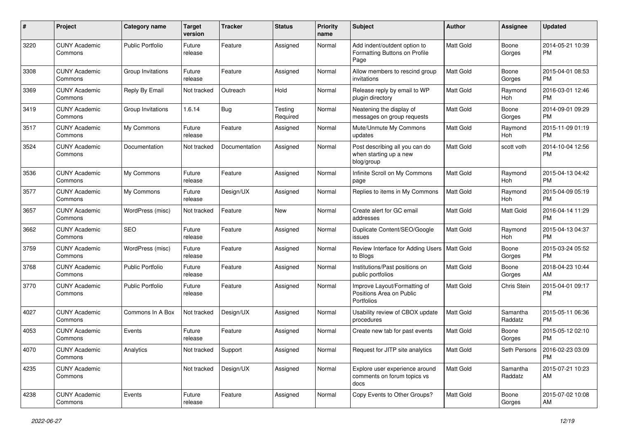| #    | Project                         | <b>Category name</b>    | <b>Target</b><br>version | <b>Tracker</b> | <b>Status</b>       | <b>Priority</b><br>name | <b>Subject</b>                                                         | Author    | <b>Assignee</b>       | <b>Updated</b>                |
|------|---------------------------------|-------------------------|--------------------------|----------------|---------------------|-------------------------|------------------------------------------------------------------------|-----------|-----------------------|-------------------------------|
| 3220 | <b>CUNY Academic</b><br>Commons | <b>Public Portfolio</b> | Future<br>release        | Feature        | Assigned            | Normal                  | Add indent/outdent option to<br>Formatting Buttons on Profile<br>Page  | Matt Gold | Boone<br>Gorges       | 2014-05-21 10:39<br>РM        |
| 3308 | <b>CUNY Academic</b><br>Commons | Group Invitations       | Future<br>release        | Feature        | Assigned            | Normal                  | Allow members to rescind group<br>invitations                          | Matt Gold | Boone<br>Gorges       | 2015-04-01 08:53<br><b>PM</b> |
| 3369 | <b>CUNY Academic</b><br>Commons | Reply By Email          | Not tracked              | Outreach       | Hold                | Normal                  | Release reply by email to WP<br>plugin directory                       | Matt Gold | Raymond<br>Hoh        | 2016-03-01 12:46<br><b>PM</b> |
| 3419 | <b>CUNY Academic</b><br>Commons | Group Invitations       | 1.6.14                   | Bug            | Testing<br>Required | Normal                  | Neatening the display of<br>messages on group requests                 | Matt Gold | Boone<br>Gorges       | 2014-09-01 09:29<br>PM        |
| 3517 | <b>CUNY Academic</b><br>Commons | My Commons              | Future<br>release        | Feature        | Assigned            | Normal                  | Mute/Unmute My Commons<br>updates                                      | Matt Gold | Raymond<br>Hoh        | 2015-11-09 01:19<br><b>PM</b> |
| 3524 | <b>CUNY Academic</b><br>Commons | Documentation           | Not tracked              | Documentation  | Assigned            | Normal                  | Post describing all you can do<br>when starting up a new<br>blog/group | Matt Gold | scott voth            | 2014-10-04 12:56<br><b>PM</b> |
| 3536 | <b>CUNY Academic</b><br>Commons | My Commons              | Future<br>release        | Feature        | Assigned            | Normal                  | Infinite Scroll on My Commons<br>page                                  | Matt Gold | Raymond<br><b>Hoh</b> | 2015-04-13 04:42<br><b>PM</b> |
| 3577 | <b>CUNY Academic</b><br>Commons | My Commons              | Future<br>release        | Design/UX      | Assigned            | Normal                  | Replies to items in My Commons                                         | Matt Gold | Raymond<br>Hoh        | 2015-04-09 05:19<br><b>PM</b> |
| 3657 | <b>CUNY Academic</b><br>Commons | WordPress (misc)        | Not tracked              | Feature        | New                 | Normal                  | Create alert for GC email<br>addresses                                 | Matt Gold | <b>Matt Gold</b>      | 2016-04-14 11:29<br><b>PM</b> |
| 3662 | <b>CUNY Academic</b><br>Commons | <b>SEO</b>              | Future<br>release        | Feature        | Assigned            | Normal                  | Duplicate Content/SEO/Google<br>issues                                 | Matt Gold | Raymond<br>Hoh        | 2015-04-13 04:37<br><b>PM</b> |
| 3759 | <b>CUNY Academic</b><br>Commons | WordPress (misc)        | Future<br>release        | Feature        | Assigned            | Normal                  | Review Interface for Adding Users   Matt Gold<br>to Blogs              |           | Boone<br>Gorges       | 2015-03-24 05:52<br><b>PM</b> |
| 3768 | <b>CUNY Academic</b><br>Commons | <b>Public Portfolio</b> | Future<br>release        | Feature        | Assigned            | Normal                  | Institutions/Past positions on<br>public portfolios                    | Matt Gold | Boone<br>Gorges       | 2018-04-23 10:44<br>AM        |
| 3770 | <b>CUNY Academic</b><br>Commons | <b>Public Portfolio</b> | Future<br>release        | Feature        | Assigned            | Normal                  | Improve Layout/Formatting of<br>Positions Area on Public<br>Portfolios | Matt Gold | Chris Stein           | 2015-04-01 09:17<br><b>PM</b> |
| 4027 | <b>CUNY Academic</b><br>Commons | Commons In A Box        | Not tracked              | Design/UX      | Assigned            | Normal                  | Usability review of CBOX update<br>procedures                          | Matt Gold | Samantha<br>Raddatz   | 2015-05-11 06:36<br><b>PM</b> |
| 4053 | <b>CUNY Academic</b><br>Commons | Events                  | Future<br>release        | Feature        | Assigned            | Normal                  | Create new tab for past events                                         | Matt Gold | Boone<br>Gorges       | 2015-05-12 02:10<br>PM        |
| 4070 | <b>CUNY Academic</b><br>Commons | Analytics               | Not tracked Support      |                | Assigned            | Normal                  | Request for JITP site analytics                                        | Matt Gold | Seth Persons          | 2016-02-23 03:09<br><b>PM</b> |
| 4235 | <b>CUNY Academic</b><br>Commons |                         | Not tracked              | Design/UX      | Assigned            | Normal                  | Explore user experience around<br>comments on forum topics vs<br>docs  | Matt Gold | Samantha<br>Raddatz   | 2015-07-21 10:23<br>AM        |
| 4238 | <b>CUNY Academic</b><br>Commons | Events                  | Future<br>release        | Feature        | Assigned            | Normal                  | Copy Events to Other Groups?                                           | Matt Gold | Boone<br>Gorges       | 2015-07-02 10:08<br>AM        |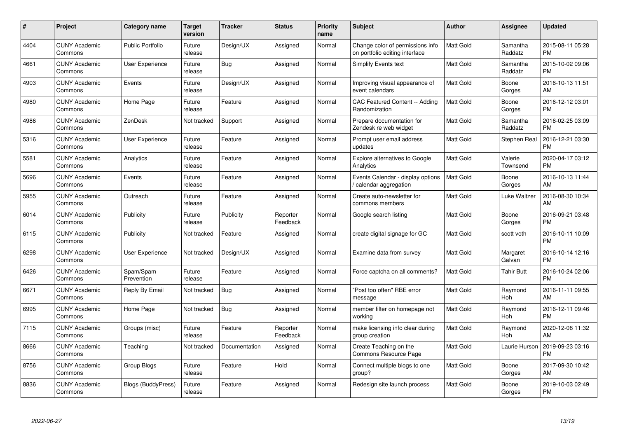| #    | Project                         | <b>Category name</b>    | <b>Target</b><br>version | <b>Tracker</b> | <b>Status</b>        | <b>Priority</b><br>name | <b>Subject</b>                                                     | <b>Author</b>    | <b>Assignee</b>     | <b>Updated</b>                |
|------|---------------------------------|-------------------------|--------------------------|----------------|----------------------|-------------------------|--------------------------------------------------------------------|------------------|---------------------|-------------------------------|
| 4404 | <b>CUNY Academic</b><br>Commons | <b>Public Portfolio</b> | Future<br>release        | Design/UX      | Assigned             | Normal                  | Change color of permissions info<br>on portfolio editing interface | <b>Matt Gold</b> | Samantha<br>Raddatz | 2015-08-11 05:28<br><b>PM</b> |
| 4661 | <b>CUNY Academic</b><br>Commons | User Experience         | Future<br>release        | Bug            | Assigned             | Normal                  | <b>Simplify Events text</b>                                        | <b>Matt Gold</b> | Samantha<br>Raddatz | 2015-10-02 09:06<br><b>PM</b> |
| 4903 | <b>CUNY Academic</b><br>Commons | Events                  | Future<br>release        | Design/UX      | Assigned             | Normal                  | Improving visual appearance of<br>event calendars                  | Matt Gold        | Boone<br>Gorges     | 2016-10-13 11:51<br>AM        |
| 4980 | <b>CUNY Academic</b><br>Commons | Home Page               | Future<br>release        | Feature        | Assigned             | Normal                  | CAC Featured Content -- Adding<br>Randomization                    | Matt Gold        | Boone<br>Gorges     | 2016-12-12 03:01<br><b>PM</b> |
| 4986 | <b>CUNY Academic</b><br>Commons | ZenDesk                 | Not tracked              | Support        | Assigned             | Normal                  | Prepare documentation for<br>Zendesk re web widget                 | Matt Gold        | Samantha<br>Raddatz | 2016-02-25 03:09<br><b>PM</b> |
| 5316 | <b>CUNY Academic</b><br>Commons | <b>User Experience</b>  | Future<br>release        | Feature        | Assigned             | Normal                  | Prompt user email address<br>updates                               | Matt Gold        | <b>Stephen Real</b> | 2016-12-21 03:30<br>PM        |
| 5581 | <b>CUNY Academic</b><br>Commons | Analytics               | Future<br>release        | Feature        | Assigned             | Normal                  | Explore alternatives to Google<br>Analytics                        | Matt Gold        | Valerie<br>Townsend | 2020-04-17 03:12<br><b>PM</b> |
| 5696 | <b>CUNY Academic</b><br>Commons | Events                  | Future<br>release        | Feature        | Assigned             | Normal                  | Events Calendar - display options<br>calendar aggregation          | <b>Matt Gold</b> | Boone<br>Gorges     | 2016-10-13 11:44<br>AM        |
| 5955 | <b>CUNY Academic</b><br>Commons | Outreach                | Future<br>release        | Feature        | Assigned             | Normal                  | Create auto-newsletter for<br>commons members                      | Matt Gold        | Luke Waltzer        | 2016-08-30 10:34<br>AM        |
| 6014 | <b>CUNY Academic</b><br>Commons | Publicity               | Future<br>release        | Publicity      | Reporter<br>Feedback | Normal                  | Google search listing                                              | Matt Gold        | Boone<br>Gorges     | 2016-09-21 03:48<br><b>PM</b> |
| 6115 | <b>CUNY Academic</b><br>Commons | Publicity               | Not tracked              | Feature        | Assigned             | Normal                  | create digital signage for GC                                      | Matt Gold        | scott voth          | 2016-10-11 10:09<br><b>PM</b> |
| 6298 | <b>CUNY Academic</b><br>Commons | <b>User Experience</b>  | Not tracked              | Design/UX      | Assigned             | Normal                  | Examine data from survey                                           | Matt Gold        | Margaret<br>Galvan  | 2016-10-14 12:16<br><b>PM</b> |
| 6426 | <b>CUNY Academic</b><br>Commons | Spam/Spam<br>Prevention | Future<br>release        | Feature        | Assigned             | Normal                  | Force captcha on all comments?                                     | <b>Matt Gold</b> | <b>Tahir Butt</b>   | 2016-10-24 02:06<br><b>PM</b> |
| 6671 | <b>CUNY Academic</b><br>Commons | Reply By Email          | Not tracked              | Bug            | Assigned             | Normal                  | "Post too often" RBE error<br>message                              | Matt Gold        | Raymond<br>Hoh      | 2016-11-11 09:55<br>AM        |
| 6995 | <b>CUNY Academic</b><br>Commons | Home Page               | Not tracked              | <b>Bug</b>     | Assigned             | Normal                  | member filter on homepage not<br>working                           | Matt Gold        | Raymond<br>Hoh      | 2016-12-11 09:46<br><b>PM</b> |
| 7115 | <b>CUNY Academic</b><br>Commons | Groups (misc)           | Future<br>release        | Feature        | Reporter<br>Feedback | Normal                  | make licensing info clear during<br>group creation                 | <b>Matt Gold</b> | Raymond<br>Hoh      | 2020-12-08 11:32<br>AM        |
| 8666 | <b>CUNY Academic</b><br>Commons | Teaching                | Not tracked              | Documentation  | Assigned             | Normal                  | Create Teaching on the<br><b>Commons Resource Page</b>             | <b>Matt Gold</b> | Laurie Hurson       | 2019-09-23 03:16<br><b>PM</b> |
| 8756 | <b>CUNY Academic</b><br>Commons | Group Blogs             | Future<br>release        | Feature        | Hold                 | Normal                  | Connect multiple blogs to one<br>group?                            | Matt Gold        | Boone<br>Gorges     | 2017-09-30 10:42<br>AM        |
| 8836 | <b>CUNY Academic</b><br>Commons | Blogs (BuddyPress)      | Future<br>release        | Feature        | Assigned             | Normal                  | Redesign site launch process                                       | Matt Gold        | Boone<br>Gorges     | 2019-10-03 02:49<br>PM        |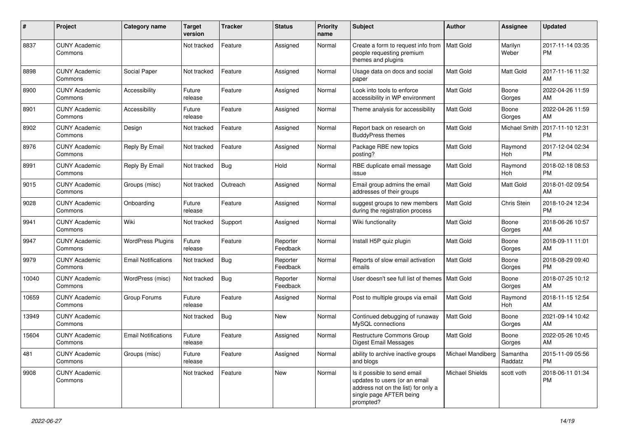| #     | Project                         | <b>Category name</b>       | <b>Target</b><br>version | <b>Tracker</b> | <b>Status</b>        | <b>Priority</b><br>name | <b>Subject</b>                                                                                                                               | <b>Author</b>     | <b>Assignee</b>     | <b>Updated</b>                |
|-------|---------------------------------|----------------------------|--------------------------|----------------|----------------------|-------------------------|----------------------------------------------------------------------------------------------------------------------------------------------|-------------------|---------------------|-------------------------------|
| 8837  | <b>CUNY Academic</b><br>Commons |                            | Not tracked              | Feature        | Assigned             | Normal                  | Create a form to request info from<br>people requesting premium<br>themes and plugins                                                        | <b>Matt Gold</b>  | Marilyn<br>Weber    | 2017-11-14 03:35<br><b>PM</b> |
| 8898  | <b>CUNY Academic</b><br>Commons | Social Paper               | Not tracked              | Feature        | Assigned             | Normal                  | Usage data on docs and social<br>paper                                                                                                       | <b>Matt Gold</b>  | Matt Gold           | 2017-11-16 11:32<br>AM        |
| 8900  | <b>CUNY Academic</b><br>Commons | Accessibility              | Future<br>release        | Feature        | Assigned             | Normal                  | Look into tools to enforce<br>accessibility in WP environment                                                                                | <b>Matt Gold</b>  | Boone<br>Gorges     | 2022-04-26 11:59<br>AM        |
| 8901  | <b>CUNY Academic</b><br>Commons | Accessibility              | Future<br>release        | Feature        | Assigned             | Normal                  | Theme analysis for accessibility                                                                                                             | <b>Matt Gold</b>  | Boone<br>Gorges     | 2022-04-26 11:59<br>AM        |
| 8902  | <b>CUNY Academic</b><br>Commons | Design                     | Not tracked              | Feature        | Assigned             | Normal                  | Report back on research on<br><b>BuddyPress themes</b>                                                                                       | Matt Gold         | Michael Smith       | 2017-11-10 12:31<br><b>PM</b> |
| 8976  | <b>CUNY Academic</b><br>Commons | Reply By Email             | Not tracked              | Feature        | Assigned             | Normal                  | Package RBE new topics<br>posting?                                                                                                           | <b>Matt Gold</b>  | Raymond<br>Hoh      | 2017-12-04 02:34<br><b>PM</b> |
| 8991  | <b>CUNY Academic</b><br>Commons | Reply By Email             | Not tracked              | Bug            | Hold                 | Normal                  | RBE duplicate email message<br>issue                                                                                                         | <b>Matt Gold</b>  | Raymond<br>Hoh      | 2018-02-18 08:53<br><b>PM</b> |
| 9015  | <b>CUNY Academic</b><br>Commons | Groups (misc)              | Not tracked              | Outreach       | Assigned             | Normal                  | Email group admins the email<br>addresses of their groups                                                                                    | <b>Matt Gold</b>  | Matt Gold           | 2018-01-02 09:54<br>AM        |
| 9028  | <b>CUNY Academic</b><br>Commons | Onboarding                 | Future<br>release        | Feature        | Assigned             | Normal                  | suggest groups to new members<br>during the registration process                                                                             | <b>Matt Gold</b>  | Chris Stein         | 2018-10-24 12:34<br><b>PM</b> |
| 9941  | <b>CUNY Academic</b><br>Commons | Wiki                       | Not tracked              | Support        | Assigned             | Normal                  | Wiki functionality                                                                                                                           | <b>Matt Gold</b>  | Boone<br>Gorges     | 2018-06-26 10:57<br>AM        |
| 9947  | <b>CUNY Academic</b><br>Commons | <b>WordPress Plugins</b>   | Future<br>release        | Feature        | Reporter<br>Feedback | Normal                  | Install H5P quiz plugin                                                                                                                      | <b>Matt Gold</b>  | Boone<br>Gorges     | 2018-09-11 11:01<br>AM        |
| 9979  | <b>CUNY Academic</b><br>Commons | <b>Email Notifications</b> | Not tracked              | <b>Bug</b>     | Reporter<br>Feedback | Normal                  | Reports of slow email activation<br>emails                                                                                                   | <b>Matt Gold</b>  | Boone<br>Gorges     | 2018-08-29 09:40<br><b>PM</b> |
| 10040 | <b>CUNY Academic</b><br>Commons | WordPress (misc)           | Not tracked              | <b>Bug</b>     | Reporter<br>Feedback | Normal                  | User doesn't see full list of themes   Matt Gold                                                                                             |                   | Boone<br>Gorges     | 2018-07-25 10:12<br>AM        |
| 10659 | <b>CUNY Academic</b><br>Commons | Group Forums               | Future<br>release        | Feature        | Assigned             | Normal                  | Post to multiple groups via email                                                                                                            | Matt Gold         | Raymond<br>Hoh      | 2018-11-15 12:54<br>AM        |
| 13949 | <b>CUNY Academic</b><br>Commons |                            | Not tracked              | Bug            | <b>New</b>           | Normal                  | Continued debugging of runaway<br>MySQL connections                                                                                          | Matt Gold         | Boone<br>Gorges     | 2021-09-14 10:42<br>AM        |
| 15604 | <b>CUNY Academic</b><br>Commons | <b>Email Notifications</b> | Future<br>release        | Feature        | Assigned             | Normal                  | Restructure Commons Group<br>Digest Email Messages                                                                                           | <b>Matt Gold</b>  | Boone<br>Gorges     | 2022-05-26 10:45<br>AM        |
| 481   | <b>CUNY Academic</b><br>Commons | Groups (misc)              | Future<br>release        | Feature        | Assigned             | Normal                  | ability to archive inactive groups<br>and blogs                                                                                              | Michael Mandiberg | Samantha<br>Raddatz | 2015-11-09 05:56<br>PM        |
| 9908  | <b>CUNY Academic</b><br>Commons |                            | Not tracked              | Feature        | New                  | Normal                  | Is it possible to send email<br>updates to users (or an email<br>address not on the list) for only a<br>single page AFTER being<br>prompted? | Michael Shields   | scott voth          | 2018-06-11 01:34<br>PM        |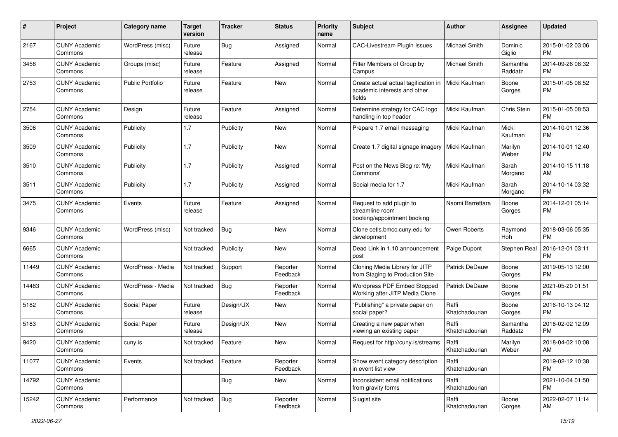| #     | Project                         | <b>Category name</b>    | <b>Target</b><br>version | <b>Tracker</b> | <b>Status</b>        | <b>Priority</b><br>name | Subject                                                                        | Author                  | <b>Assignee</b>     | <b>Updated</b>                |
|-------|---------------------------------|-------------------------|--------------------------|----------------|----------------------|-------------------------|--------------------------------------------------------------------------------|-------------------------|---------------------|-------------------------------|
| 2167  | <b>CUNY Academic</b><br>Commons | WordPress (misc)        | Future<br>release        | Bug            | Assigned             | Normal                  | <b>CAC-Livestream Plugin Issues</b>                                            | Michael Smith           | Dominic<br>Giglio   | 2015-01-02 03:06<br>PM        |
| 3458  | <b>CUNY Academic</b><br>Commons | Groups (misc)           | Future<br>release        | Feature        | Assigned             | Normal                  | Filter Members of Group by<br>Campus                                           | Michael Smith           | Samantha<br>Raddatz | 2014-09-26 08:32<br><b>PM</b> |
| 2753  | <b>CUNY Academic</b><br>Commons | <b>Public Portfolio</b> | Future<br>release        | Feature        | New                  | Normal                  | Create actual actual tagification in<br>academic interests and other<br>fields | Micki Kaufman           | Boone<br>Gorges     | 2015-01-05 08:52<br><b>PM</b> |
| 2754  | <b>CUNY Academic</b><br>Commons | Design                  | Future<br>release        | Feature        | Assigned             | Normal                  | Determine strategy for CAC logo<br>handling in top header                      | Micki Kaufman           | Chris Stein         | 2015-01-05 08:53<br><b>PM</b> |
| 3506  | <b>CUNY Academic</b><br>Commons | Publicity               | 1.7                      | Publicity      | New                  | Normal                  | Prepare 1.7 email messaging                                                    | Micki Kaufman           | Micki<br>Kaufman    | 2014-10-01 12:36<br><b>PM</b> |
| 3509  | <b>CUNY Academic</b><br>Commons | Publicity               | 1.7                      | Publicity      | New                  | Normal                  | Create 1.7 digital signage imagery                                             | Micki Kaufman           | Marilyn<br>Weber    | 2014-10-01 12:40<br><b>PM</b> |
| 3510  | <b>CUNY Academic</b><br>Commons | Publicity               | 1.7                      | Publicity      | Assigned             | Normal                  | Post on the News Blog re: 'My<br>Commons'                                      | Micki Kaufman           | Sarah<br>Morgano    | 2014-10-15 11:18<br>AM        |
| 3511  | <b>CUNY Academic</b><br>Commons | Publicity               | 1.7                      | Publicity      | Assigned             | Normal                  | Social media for 1.7                                                           | Micki Kaufman           | Sarah<br>Morgano    | 2014-10-14 03:32<br>PM        |
| 3475  | <b>CUNY Academic</b><br>Commons | Events                  | Future<br>release        | Feature        | Assigned             | Normal                  | Request to add plugin to<br>streamline room<br>booking/appointment booking     | Naomi Barrettara        | Boone<br>Gorges     | 2014-12-01 05:14<br><b>PM</b> |
| 9346  | <b>CUNY Academic</b><br>Commons | WordPress (misc)        | Not tracked              | Bug            | <b>New</b>           | Normal                  | Clone cetls.bmcc.cuny.edu for<br>development                                   | Owen Roberts            | Raymond<br>Hoh      | 2018-03-06 05:35<br>PM        |
| 6665  | <b>CUNY Academic</b><br>Commons |                         | Not tracked              | Publicity      | New                  | Normal                  | Dead Link in 1.10 announcement<br>post                                         | Paige Dupont            | Stephen Real        | 2016-12-01 03:11<br><b>PM</b> |
| 11449 | <b>CUNY Academic</b><br>Commons | WordPress - Media       | Not tracked              | Support        | Reporter<br>Feedback | Normal                  | Cloning Media Library for JITP<br>from Staging to Production Site              | Patrick DeDauw          | Boone<br>Gorges     | 2019-05-13 12:00<br><b>PM</b> |
| 14483 | <b>CUNY Academic</b><br>Commons | WordPress - Media       | Not tracked              | Bug            | Reporter<br>Feedback | Normal                  | Wordpress PDF Embed Stopped<br>Working after JITP Media Clone                  | Patrick DeDauw          | Boone<br>Gorges     | 2021-05-20 01:51<br><b>PM</b> |
| 5182  | <b>CUNY Academic</b><br>Commons | Social Paper            | Future<br>release        | Design/UX      | New                  | Normal                  | "Publishing" a private paper on<br>social paper?                               | Raffi<br>Khatchadourian | Boone<br>Gorges     | 2016-10-13 04:12<br><b>PM</b> |
| 5183  | <b>CUNY Academic</b><br>Commons | Social Paper            | Future<br>release        | Design/UX      | New                  | Normal                  | Creating a new paper when<br>viewing an existing paper                         | Raffi<br>Khatchadourian | Samantha<br>Raddatz | 2016-02-02 12:09<br><b>PM</b> |
| 9420  | <b>CUNY Academic</b><br>Commons | cuny.is                 | Not tracked              | Feature        | New                  | Normal                  | Request for http://cuny.is/streams                                             | Raffi<br>Khatchadourian | Marilyn<br>Weber    | 2018-04-02 10:08<br>AM        |
| 11077 | <b>CUNY Academic</b><br>Commons | Events                  | Not tracked              | Feature        | Reporter<br>Feedback | Normal                  | Show event category description<br>in event list view                          | Raffi<br>Khatchadourian |                     | 2019-02-12 10:38<br>PM        |
| 14792 | <b>CUNY Academic</b><br>Commons |                         |                          | <b>Bug</b>     | New                  | Normal                  | Inconsistent email notifications<br>from gravity forms                         | Raffi<br>Khatchadourian |                     | 2021-10-04 01:50<br><b>PM</b> |
| 15242 | <b>CUNY Academic</b><br>Commons | Performance             | Not tracked              | <b>Bug</b>     | Reporter<br>Feedback | Normal                  | Slugist site                                                                   | Raffi<br>Khatchadourian | Boone<br>Gorges     | 2022-02-07 11:14<br>AM        |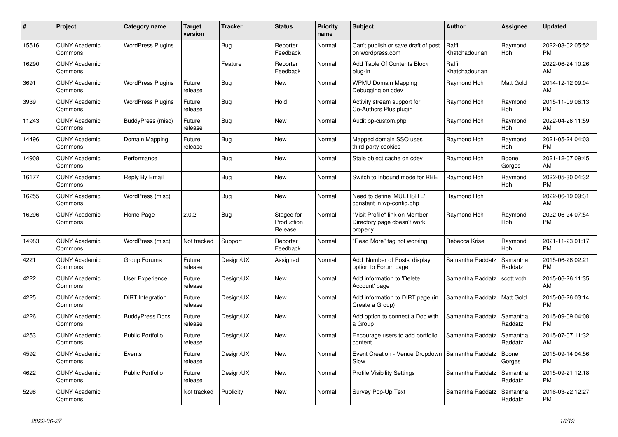| #     | Project                         | <b>Category name</b>     | <b>Target</b><br>version | <b>Tracker</b> | <b>Status</b>                       | <b>Priority</b><br>name | <b>Subject</b>                                                            | <b>Author</b>           | <b>Assignee</b>       | <b>Updated</b>                |
|-------|---------------------------------|--------------------------|--------------------------|----------------|-------------------------------------|-------------------------|---------------------------------------------------------------------------|-------------------------|-----------------------|-------------------------------|
| 15516 | <b>CUNY Academic</b><br>Commons | <b>WordPress Plugins</b> |                          | <b>Bug</b>     | Reporter<br>Feedback                | Normal                  | Can't publish or save draft of post<br>on wordpress.com                   | Raffi<br>Khatchadourian | Raymond<br>Hoh        | 2022-03-02 05:52<br><b>PM</b> |
| 16290 | <b>CUNY Academic</b><br>Commons |                          |                          | Feature        | Reporter<br>Feedback                | Normal                  | Add Table Of Contents Block<br>plug-in                                    | Raffi<br>Khatchadourian |                       | 2022-06-24 10:26<br>AM        |
| 3691  | <b>CUNY Academic</b><br>Commons | <b>WordPress Plugins</b> | Future<br>release        | <b>Bug</b>     | <b>New</b>                          | Normal                  | <b>WPMU Domain Mapping</b><br>Debugging on cdev                           | Raymond Hoh             | <b>Matt Gold</b>      | 2014-12-12 09:04<br>AM        |
| 3939  | <b>CUNY Academic</b><br>Commons | <b>WordPress Plugins</b> | Future<br>release        | Bug            | Hold                                | Normal                  | Activity stream support for<br>Co-Authors Plus plugin                     | Raymond Hoh             | Raymond<br>Hoh        | 2015-11-09 06:13<br><b>PM</b> |
| 11243 | <b>CUNY Academic</b><br>Commons | BuddyPress (misc)        | Future<br>release        | Bug            | <b>New</b>                          | Normal                  | Audit bp-custom.php                                                       | Raymond Hoh             | Raymond<br>Hoh        | 2022-04-26 11:59<br>AM        |
| 14496 | <b>CUNY Academic</b><br>Commons | Domain Mapping           | Future<br>release        | <b>Bug</b>     | <b>New</b>                          | Normal                  | Mapped domain SSO uses<br>third-party cookies                             | Raymond Hoh             | Raymond<br>Hoh        | 2021-05-24 04:03<br><b>PM</b> |
| 14908 | <b>CUNY Academic</b><br>Commons | Performance              |                          | Bug            | <b>New</b>                          | Normal                  | Stale object cache on cdev                                                | Raymond Hoh             | Boone<br>Gorges       | 2021-12-07 09:45<br>AM        |
| 16177 | <b>CUNY Academic</b><br>Commons | Reply By Email           |                          | Bug            | <b>New</b>                          | Normal                  | Switch to Inbound mode for RBE                                            | Raymond Hoh             | Raymond<br>Hoh        | 2022-05-30 04:32<br><b>PM</b> |
| 16255 | <b>CUNY Academic</b><br>Commons | WordPress (misc)         |                          | Bug            | New                                 | Normal                  | Need to define 'MULTISITE'<br>constant in wp-config.php                   | Raymond Hoh             |                       | 2022-06-19 09:31<br>AM        |
| 16296 | <b>CUNY Academic</b><br>Commons | Home Page                | 2.0.2                    | <b>Bug</b>     | Staged for<br>Production<br>Release | Normal                  | "Visit Profile" link on Member<br>Directory page doesn't work<br>properly | Raymond Hoh             | Raymond<br><b>Hoh</b> | 2022-06-24 07:54<br><b>PM</b> |
| 14983 | <b>CUNY Academic</b><br>Commons | WordPress (misc)         | Not tracked              | Support        | Reporter<br>Feedback                | Normal                  | 'Read More" tag not working                                               | Rebecca Krisel          | Raymond<br>Hoh        | 2021-11-23 01:17<br><b>PM</b> |
| 4221  | <b>CUNY Academic</b><br>Commons | Group Forums             | Future<br>release        | Design/UX      | Assigned                            | Normal                  | Add 'Number of Posts' display<br>option to Forum page                     | Samantha Raddatz        | Samantha<br>Raddatz   | 2015-06-26 02:21<br><b>PM</b> |
| 4222  | <b>CUNY Academic</b><br>Commons | User Experience          | Future<br>release        | Design/UX      | <b>New</b>                          | Normal                  | Add information to 'Delete<br>Account' page                               | Samantha Raddatz        | scott voth            | 2015-06-26 11:35<br>AM        |
| 4225  | <b>CUNY Academic</b><br>Commons | DiRT Integration         | Future<br>release        | Design/UX      | <b>New</b>                          | Normal                  | Add information to DIRT page (in<br>Create a Group)                       | Samantha Raddatz        | <b>Matt Gold</b>      | 2015-06-26 03:14<br><b>PM</b> |
| 4226  | <b>CUNY Academic</b><br>Commons | <b>BuddyPress Docs</b>   | Future<br>release        | Design/UX      | New                                 | Normal                  | Add option to connect a Doc with<br>a Group                               | Samantha Raddatz        | Samantha<br>Raddatz   | 2015-09-09 04:08<br><b>PM</b> |
| 4253  | <b>CUNY Academic</b><br>Commons | Public Portfolio         | Future<br>release        | Design/UX      | <b>New</b>                          | Normal                  | Encourage users to add portfolio<br>content                               | Samantha Raddatz        | Samantha<br>Raddatz   | 2015-07-07 11:32<br>AM        |
| 4592  | <b>CUNY Academic</b><br>Commons | Events                   | Future<br>release        | Design/UX      | <b>New</b>                          | Normal                  | Event Creation - Venue Dropdown<br>Slow                                   | Samantha Raddatz        | Boone<br>Gorges       | 2015-09-14 04:56<br><b>PM</b> |
| 4622  | <b>CUNY Academic</b><br>Commons | <b>Public Portfolio</b>  | Future<br>release        | Design/UX      | <b>New</b>                          | Normal                  | <b>Profile Visibility Settings</b>                                        | Samantha Raddatz        | Samantha<br>Raddatz   | 2015-09-21 12:18<br><b>PM</b> |
| 5298  | <b>CUNY Academic</b><br>Commons |                          | Not tracked              | Publicity      | <b>New</b>                          | Normal                  | Survey Pop-Up Text                                                        | Samantha Raddatz        | Samantha<br>Raddatz   | 2016-03-22 12:27<br><b>PM</b> |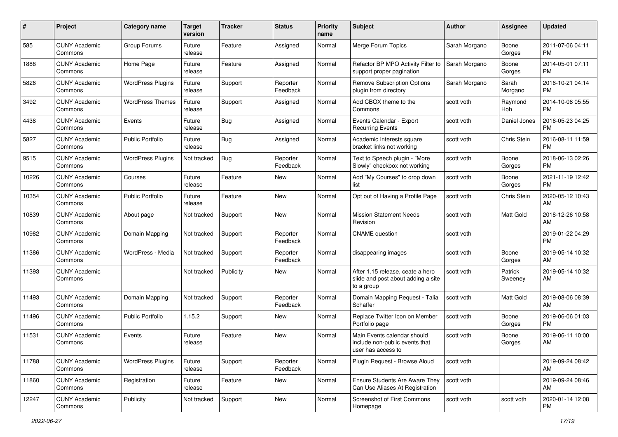| #     | Project                         | <b>Category name</b>     | <b>Target</b><br>version | <b>Tracker</b> | <b>Status</b>        | <b>Priority</b><br>name | Subject                                                                              | Author        | <b>Assignee</b>    | <b>Updated</b>                |
|-------|---------------------------------|--------------------------|--------------------------|----------------|----------------------|-------------------------|--------------------------------------------------------------------------------------|---------------|--------------------|-------------------------------|
| 585   | <b>CUNY Academic</b><br>Commons | Group Forums             | Future<br>release        | Feature        | Assigned             | Normal                  | Merge Forum Topics                                                                   | Sarah Morgano | Boone<br>Gorges    | 2011-07-06 04:11<br><b>PM</b> |
| 1888  | <b>CUNY Academic</b><br>Commons | Home Page                | Future<br>release        | Feature        | Assigned             | Normal                  | Refactor BP MPO Activity Filter to<br>support proper pagination                      | Sarah Morgano | Boone<br>Gorges    | 2014-05-01 07:11<br><b>PM</b> |
| 5826  | <b>CUNY Academic</b><br>Commons | <b>WordPress Plugins</b> | Future<br>release        | Support        | Reporter<br>Feedback | Normal                  | <b>Remove Subscription Options</b><br>plugin from directory                          | Sarah Morgano | Sarah<br>Morgano   | 2016-10-21 04:14<br><b>PM</b> |
| 3492  | <b>CUNY Academic</b><br>Commons | <b>WordPress Themes</b>  | Future<br>release        | Support        | Assigned             | Normal                  | Add CBOX theme to the<br>Commons                                                     | scott voth    | Raymond<br>Hoh     | 2014-10-08 05:55<br><b>PM</b> |
| 4438  | <b>CUNY Academic</b><br>Commons | Events                   | Future<br>release        | <b>Bug</b>     | Assigned             | Normal                  | Events Calendar - Export<br><b>Recurring Events</b>                                  | scott voth    | Daniel Jones       | 2016-05-23 04:25<br><b>PM</b> |
| 5827  | <b>CUNY Academic</b><br>Commons | <b>Public Portfolio</b>  | Future<br>release        | <b>Bug</b>     | Assigned             | Normal                  | Academic Interests square<br>bracket links not working                               | scott voth    | Chris Stein        | 2016-08-11 11:59<br><b>PM</b> |
| 9515  | <b>CUNY Academic</b><br>Commons | <b>WordPress Plugins</b> | Not tracked              | <b>Bug</b>     | Reporter<br>Feedback | Normal                  | Text to Speech plugin - "More<br>Slowly" checkbox not working                        | scott voth    | Boone<br>Gorges    | 2018-06-13 02:26<br><b>PM</b> |
| 10226 | <b>CUNY Academic</b><br>Commons | Courses                  | Future<br>release        | Feature        | New                  | Normal                  | Add "My Courses" to drop down<br>list                                                | scott voth    | Boone<br>Gorges    | 2021-11-19 12:42<br><b>PM</b> |
| 10354 | <b>CUNY Academic</b><br>Commons | <b>Public Portfolio</b>  | Future<br>release        | Feature        | New                  | Normal                  | Opt out of Having a Profile Page                                                     | scott voth    | <b>Chris Stein</b> | 2020-05-12 10:43<br>AM        |
| 10839 | <b>CUNY Academic</b><br>Commons | About page               | Not tracked              | Support        | New                  | Normal                  | <b>Mission Statement Needs</b><br>Revision                                           | scott voth    | Matt Gold          | 2018-12-26 10:58<br>AM        |
| 10982 | <b>CUNY Academic</b><br>Commons | Domain Mapping           | Not tracked              | Support        | Reporter<br>Feedback | Normal                  | <b>CNAME</b> question                                                                | scott voth    |                    | 2019-01-22 04:29<br><b>PM</b> |
| 11386 | <b>CUNY Academic</b><br>Commons | WordPress - Media        | Not tracked              | Support        | Reporter<br>Feedback | Normal                  | disappearing images                                                                  | scott voth    | Boone<br>Gorges    | 2019-05-14 10:32<br>AM        |
| 11393 | <b>CUNY Academic</b><br>Commons |                          | Not tracked              | Publicity      | New                  | Normal                  | After 1.15 release, ceate a hero<br>slide and post about adding a site<br>to a group | scott voth    | Patrick<br>Sweeney | 2019-05-14 10:32<br>AM        |
| 11493 | <b>CUNY Academic</b><br>Commons | Domain Mapping           | Not tracked              | Support        | Reporter<br>Feedback | Normal                  | Domain Mapping Request - Talia<br>Schaffer                                           | scott voth    | Matt Gold          | 2019-08-06 08:39<br>AM        |
| 11496 | <b>CUNY Academic</b><br>Commons | <b>Public Portfolio</b>  | 1.15.2                   | Support        | New                  | Normal                  | Replace Twitter Icon on Member<br>Portfolio page                                     | scott voth    | Boone<br>Gorges    | 2019-06-06 01:03<br><b>PM</b> |
| 11531 | <b>CUNY Academic</b><br>Commons | Events                   | Future<br>release        | Feature        | <b>New</b>           | Normal                  | Main Events calendar should<br>include non-public events that<br>user has access to  | scott voth    | Boone<br>Gorges    | 2019-06-11 10:00<br>AM        |
| 11788 | <b>CUNY Academic</b><br>Commons | <b>WordPress Plugins</b> | Future<br>release        | Support        | Reporter<br>Feedback | Normal                  | Plugin Request - Browse Aloud                                                        | scott voth    |                    | 2019-09-24 08:42<br>AM        |
| 11860 | <b>CUNY Academic</b><br>Commons | Registration             | Future<br>release        | Feature        | New                  | Normal                  | Ensure Students Are Aware They<br>Can Use Aliases At Registration                    | scott voth    |                    | 2019-09-24 08:46<br>AM        |
| 12247 | <b>CUNY Academic</b><br>Commons | Publicity                | Not tracked              | Support        | New                  | Normal                  | Screenshot of First Commons<br>Homepage                                              | scott voth    | scott voth         | 2020-01-14 12:08<br><b>PM</b> |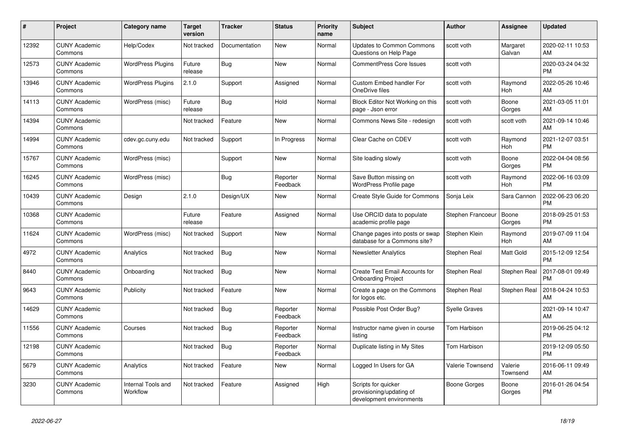| #     | <b>Project</b>                  | Category name                  | <b>Target</b><br>version | <b>Tracker</b> | <b>Status</b>        | <b>Priority</b><br>name | <b>Subject</b>                                                              | <b>Author</b>       | <b>Assignee</b>       | <b>Updated</b>                |
|-------|---------------------------------|--------------------------------|--------------------------|----------------|----------------------|-------------------------|-----------------------------------------------------------------------------|---------------------|-----------------------|-------------------------------|
| 12392 | <b>CUNY Academic</b><br>Commons | Help/Codex                     | Not tracked              | Documentation  | <b>New</b>           | Normal                  | <b>Updates to Common Commons</b><br>Questions on Help Page                  | scott voth          | Margaret<br>Galvan    | 2020-02-11 10:53<br>AM        |
| 12573 | <b>CUNY Academic</b><br>Commons | <b>WordPress Plugins</b>       | Future<br>release        | Bug            | <b>New</b>           | Normal                  | <b>CommentPress Core Issues</b>                                             | scott voth          |                       | 2020-03-24 04:32<br><b>PM</b> |
| 13946 | <b>CUNY Academic</b><br>Commons | <b>WordPress Plugins</b>       | 2.1.0                    | Support        | Assigned             | Normal                  | <b>Custom Embed handler For</b><br>OneDrive files                           | scott voth          | Raymond<br>Hoh        | 2022-05-26 10:46<br>AM        |
| 14113 | <b>CUNY Academic</b><br>Commons | WordPress (misc)               | Future<br>release        | <b>Bug</b>     | Hold                 | Normal                  | Block Editor Not Working on this<br>page - Json error                       | scott voth          | Boone<br>Gorges       | 2021-03-05 11:01<br>AM        |
| 14394 | <b>CUNY Academic</b><br>Commons |                                | Not tracked              | Feature        | New                  | Normal                  | Commons News Site - redesign                                                | scott voth          | scott voth            | 2021-09-14 10:46<br>AM        |
| 14994 | <b>CUNY Academic</b><br>Commons | cdev.gc.cuny.edu               | Not tracked              | Support        | In Progress          | Normal                  | Clear Cache on CDEV                                                         | scott voth          | Raymond<br><b>Hoh</b> | 2021-12-07 03:51<br><b>PM</b> |
| 15767 | <b>CUNY Academic</b><br>Commons | WordPress (misc)               |                          | Support        | <b>New</b>           | Normal                  | Site loading slowly                                                         | scott voth          | Boone<br>Gorges       | 2022-04-04 08:56<br><b>PM</b> |
| 16245 | <b>CUNY Academic</b><br>Commons | WordPress (misc)               |                          | Bug            | Reporter<br>Feedback | Normal                  | Save Button missing on<br><b>WordPress Profile page</b>                     | scott voth          | Raymond<br>Hoh        | 2022-06-16 03:09<br><b>PM</b> |
| 10439 | <b>CUNY Academic</b><br>Commons | Design                         | 2.1.0                    | Design/UX      | <b>New</b>           | Normal                  | Create Style Guide for Commons                                              | Sonja Leix          | Sara Cannon           | 2022-06-23 06:20<br><b>PM</b> |
| 10368 | <b>CUNY Academic</b><br>Commons |                                | Future<br>release        | Feature        | Assigned             | Normal                  | Use ORCID data to populate<br>academic profile page                         | Stephen Francoeur   | Boone<br>Gorges       | 2018-09-25 01:53<br><b>PM</b> |
| 11624 | <b>CUNY Academic</b><br>Commons | WordPress (misc)               | Not tracked              | Support        | <b>New</b>           | Normal                  | Change pages into posts or swap<br>database for a Commons site?             | Stephen Klein       | Raymond<br>Hoh        | 2019-07-09 11:04<br>AM        |
| 4972  | <b>CUNY Academic</b><br>Commons | Analytics                      | Not tracked              | <b>Bug</b>     | <b>New</b>           | Normal                  | <b>Newsletter Analytics</b>                                                 | Stephen Real        | Matt Gold             | 2015-12-09 12:54<br><b>PM</b> |
| 8440  | <b>CUNY Academic</b><br>Commons | Onboarding                     | Not tracked              | Bug            | New                  | Normal                  | Create Test Email Accounts for<br><b>Onboarding Project</b>                 | Stephen Real        | Stephen Real          | 2017-08-01 09:49<br><b>PM</b> |
| 9643  | <b>CUNY Academic</b><br>Commons | Publicity                      | Not tracked              | Feature        | <b>New</b>           | Normal                  | Create a page on the Commons<br>for logos etc.                              | Stephen Real        | Stephen Real          | 2018-04-24 10:53<br>AM        |
| 14629 | <b>CUNY Academic</b><br>Commons |                                | Not tracked              | Bug            | Reporter<br>Feedback | Normal                  | Possible Post Order Bug?                                                    | Syelle Graves       |                       | 2021-09-14 10:47<br>AM        |
| 11556 | <b>CUNY Academic</b><br>Commons | Courses                        | Not tracked              | <b>Bug</b>     | Reporter<br>Feedback | Normal                  | Instructor name given in course<br>listing                                  | Tom Harbison        |                       | 2019-06-25 04:12<br><b>PM</b> |
| 12198 | <b>CUNY Academic</b><br>Commons |                                | Not tracked              | <b>Bug</b>     | Reporter<br>Feedback | Normal                  | Duplicate listing in My Sites                                               | Tom Harbison        |                       | 2019-12-09 05:50<br><b>PM</b> |
| 5679  | <b>CUNY Academic</b><br>Commons | Analytics                      | Not tracked              | Feature        | <b>New</b>           | Normal                  | Logged In Users for GA                                                      | Valerie Townsend    | Valerie<br>Townsend   | 2016-06-11 09:49<br>AM        |
| 3230  | <b>CUNY Academic</b><br>Commons | Internal Tools and<br>Workflow | Not tracked              | Feature        | Assigned             | High                    | Scripts for quicker<br>provisioning/updating of<br>development environments | <b>Boone Gorges</b> | Boone<br>Gorges       | 2016-01-26 04:54<br><b>PM</b> |